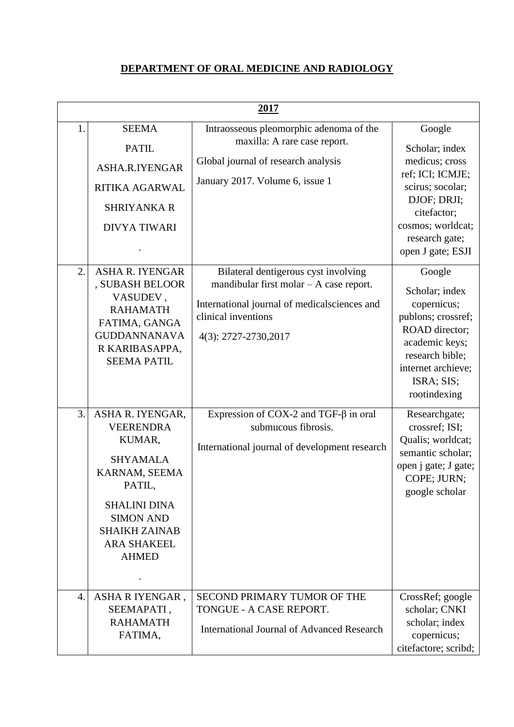## **DEPARTMENT OF ORAL MEDICINE AND RADIOLOGY**

|    | 2017                                                                                                                                                                                                  |                                                                                                                                                                                    |                                                                                                                                                                                               |  |
|----|-------------------------------------------------------------------------------------------------------------------------------------------------------------------------------------------------------|------------------------------------------------------------------------------------------------------------------------------------------------------------------------------------|-----------------------------------------------------------------------------------------------------------------------------------------------------------------------------------------------|--|
| 1. | <b>SEEMA</b><br><b>PATIL</b><br>ASHA.R.IYENGAR<br>RITIKA AGARWAL<br><b>SHRIYANKA R</b><br><b>DIVYA TIWARI</b>                                                                                         | Intraosseous pleomorphic adenoma of the<br>maxilla: A rare case report.<br>Global journal of research analysis<br>January 2017. Volume 6, issue 1                                  | Google<br>Scholar; index<br>medicus; cross<br>ref; ICI; ICMJE;<br>scirus; socolar;<br>DJOF; DRJI;<br>citefactor;<br>cosmos; worldcat;<br>research gate;                                       |  |
| 2. | <b>ASHA R. IYENGAR</b><br>, SUBASH BELOOR<br>VASUDEV,<br><b>RAHAMATH</b><br>FATIMA, GANGA<br><b>GUDDANNANAVA</b><br>R KARIBASAPPA,<br><b>SEEMA PATIL</b>                                              | Bilateral dentigerous cyst involving<br>mandibular first molar $- A$ case report.<br>International journal of medical sciences and<br>clinical inventions<br>4(3): 2727-2730, 2017 | open J gate; ESJI<br>Google<br>Scholar; index<br>copernicus;<br>publons; crossref;<br>ROAD director;<br>academic keys;<br>research bible;<br>internet archieve;<br>ISRA; SIS;<br>rootindexing |  |
| 3. | ASHA R. IYENGAR,<br><b>VEERENDRA</b><br>KUMAR,<br><b>SHYAMALA</b><br>KARNAM, SEEMA<br>PATIL,<br><b>SHALINI DINA</b><br><b>SIMON AND</b><br><b>SHAIKH ZAINAB</b><br><b>ARA SHAKEEL</b><br><b>AHMED</b> | Expression of COX-2 and TGF- $\beta$ in oral<br>submucous fibrosis.<br>International journal of development research                                                               | Researchgate;<br>crossref; ISI;<br>Qualis; worldcat;<br>semantic scholar;<br>open j gate; J gate;<br>COPE; JURN;<br>google scholar                                                            |  |
| 4. | ASHARIYENGAR,<br>SEEMAPATI,<br><b>RAHAMATH</b><br>FATIMA,                                                                                                                                             | SECOND PRIMARY TUMOR OF THE<br>TONGUE - A CASE REPORT.<br><b>International Journal of Advanced Research</b>                                                                        | CrossRef; google<br>scholar; CNKI<br>scholar; index<br>copernicus;<br>citefactore; scribd;                                                                                                    |  |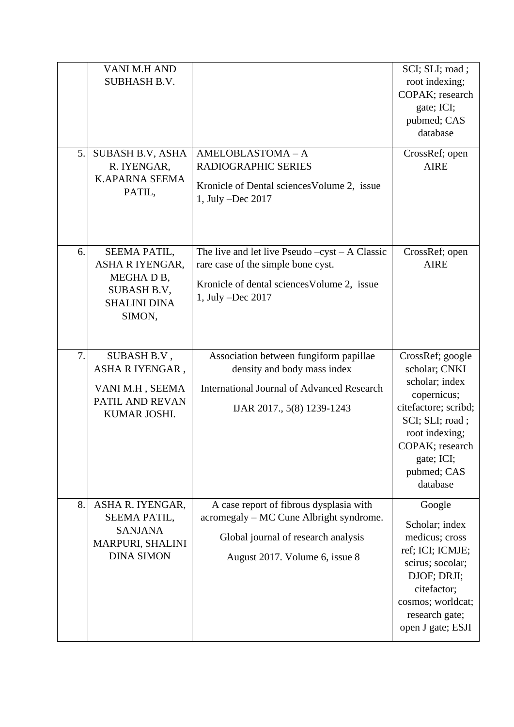|    | VANI M.H AND<br><b>SUBHASH B.V.</b>                                                                      |                                                                                                                                                             | SCI; SLI; road;<br>root indexing;<br>COPAK; research<br>gate; ICI;<br>pubmed; CAS<br>database                                                                                               |
|----|----------------------------------------------------------------------------------------------------------|-------------------------------------------------------------------------------------------------------------------------------------------------------------|---------------------------------------------------------------------------------------------------------------------------------------------------------------------------------------------|
| 5. | SUBASH B.V, ASHA<br>R. IYENGAR,<br><b>K.APARNA SEEMA</b><br>PATIL,                                       | AMELOBLASTOMA-A<br>RADIOGRAPHIC SERIES<br>Kronicle of Dental sciences Volume 2, issue<br>1, July -Dec 2017                                                  | CrossRef; open<br><b>AIRE</b>                                                                                                                                                               |
| 6. | SEEMA PATIL,<br>ASHA R IYENGAR,<br>MEGHAD <sub>B</sub> ,<br>SUBASH B.V,<br><b>SHALINI DINA</b><br>SIMON, | The live and let live Pseudo $-cyst - A$ Classic<br>rare case of the simple bone cyst.<br>Kronicle of dental sciences Volume 2, issue<br>1, July -Dec 2017  | CrossRef; open<br><b>AIRE</b>                                                                                                                                                               |
| 7. | SUBASH B.V,<br>ASHARIYENGAR,<br>VANI M.H, SEEMA<br>PATIL AND REVAN<br>KUMAR JOSHI.                       | Association between fungiform papillae<br>density and body mass index<br><b>International Journal of Advanced Research</b><br>IJAR 2017., 5(8) 1239-1243    | CrossRef; google<br>scholar; CNKI<br>scholar; index<br>copernicus;<br>citefactore; scribd;<br>SCI; SLI; road;<br>root indexing;<br>COPAK; research<br>gate; ICI;<br>pubmed; CAS<br>database |
| 8. | ASHA R. IYENGAR,<br>SEEMA PATIL,<br><b>SANJANA</b><br>MARPURI, SHALINI<br><b>DINA SIMON</b>              | A case report of fibrous dysplasia with<br>acromegaly - MC Cune Albright syndrome.<br>Global journal of research analysis<br>August 2017. Volume 6, issue 8 | Google<br>Scholar; index<br>medicus; cross<br>ref; ICI; ICMJE;<br>scirus; socolar;<br>DJOF; DRJI;<br>citefactor;<br>cosmos; worldcat;<br>research gate;<br>open J gate; ESJI                |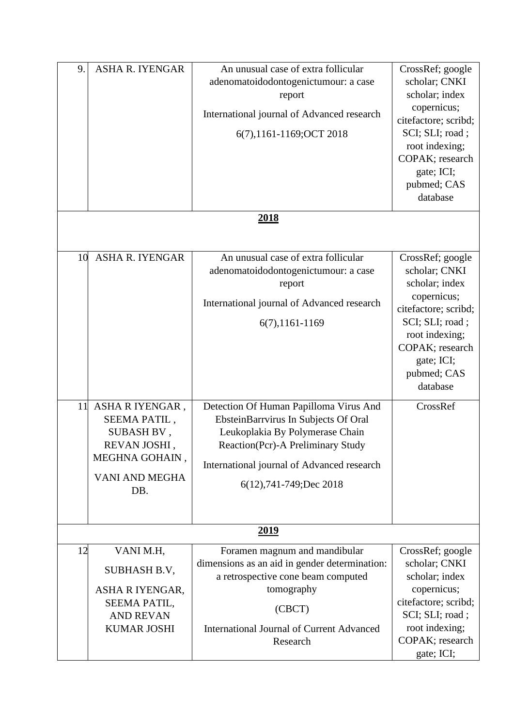| 9.       | <b>ASHA R. IYENGAR</b>                                                                                                                 | An unusual case of extra follicular<br>adenomatoidodontogenictumour: a case<br>report<br>International journal of Advanced research<br>6(7),1161-1169; OCT 2018<br><u>2018</u>                                                                                                                                                                                                             | CrossRef; google<br>scholar; CNKI<br>scholar; index<br>copernicus;<br>citefactore; scribd;<br>SCI; SLI; road;<br>root indexing;<br>COPAK; research<br>gate; ICI;<br>pubmed; CAS<br>database             |
|----------|----------------------------------------------------------------------------------------------------------------------------------------|--------------------------------------------------------------------------------------------------------------------------------------------------------------------------------------------------------------------------------------------------------------------------------------------------------------------------------------------------------------------------------------------|---------------------------------------------------------------------------------------------------------------------------------------------------------------------------------------------------------|
| 10<br>11 | <b>ASHA R. IYENGAR</b><br>ASHARIYENGAR,<br>SEEMA PATIL,<br>SUBASH BV,<br><b>REVAN JOSHI</b><br>MEGHNA GOHAIN,<br>VANI AND MEGHA<br>DB. | An unusual case of extra follicular<br>adenomatoidodontogenictumour: a case<br>report<br>International journal of Advanced research<br>6(7), 1161-1169<br>Detection Of Human Papilloma Virus And<br>EbsteinBarrvirus In Subjects Of Oral<br>Leukoplakia By Polymerase Chain<br>Reaction(Pcr)-A Preliminary Study<br>International journal of Advanced research<br>6(12), 741-749; Dec 2018 | CrossRef; google<br>scholar; CNKI<br>scholar; index<br>copernicus;<br>citefactore; scribd;<br>SCI; SLI; road;<br>root indexing;<br>COPAK; research<br>gate; ICI;<br>pubmed; CAS<br>database<br>CrossRef |
|          |                                                                                                                                        | <u>2019</u>                                                                                                                                                                                                                                                                                                                                                                                |                                                                                                                                                                                                         |
| 12       | VANI M.H,                                                                                                                              | Foramen magnum and mandibular                                                                                                                                                                                                                                                                                                                                                              | CrossRef; google                                                                                                                                                                                        |
|          | SUBHASH B.V,<br>ASHA R IYENGAR,                                                                                                        | dimensions as an aid in gender determination:<br>a retrospective cone beam computed<br>tomography                                                                                                                                                                                                                                                                                          | scholar; CNKI<br>scholar; index<br>copernicus;                                                                                                                                                          |
|          | SEEMA PATIL,<br><b>AND REVAN</b><br><b>KUMAR JOSHI</b>                                                                                 | (CBCT)<br><b>International Journal of Current Advanced</b>                                                                                                                                                                                                                                                                                                                                 | citefactore; scribd;<br>SCI; SLI; road;<br>root indexing;                                                                                                                                               |
|          |                                                                                                                                        | Research                                                                                                                                                                                                                                                                                                                                                                                   | COPAK; research<br>gate; ICI;                                                                                                                                                                           |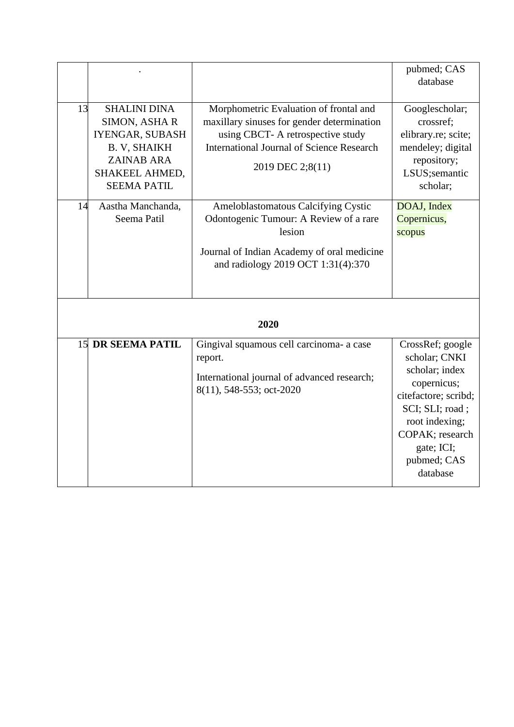|          |                                                                                                                                                                                |                                                                                                                                                                                                                                                                                                                                                                                  | pubmed; CAS                                                                                                                                                                                 |
|----------|--------------------------------------------------------------------------------------------------------------------------------------------------------------------------------|----------------------------------------------------------------------------------------------------------------------------------------------------------------------------------------------------------------------------------------------------------------------------------------------------------------------------------------------------------------------------------|---------------------------------------------------------------------------------------------------------------------------------------------------------------------------------------------|
|          |                                                                                                                                                                                |                                                                                                                                                                                                                                                                                                                                                                                  | database                                                                                                                                                                                    |
| 13<br>14 | <b>SHALINI DINA</b><br>SIMON, ASHAR<br>IYENGAR, SUBASH<br><b>B. V, SHAIKH</b><br><b>ZAINAB ARA</b><br>SHAKEEL AHMED,<br><b>SEEMA PATIL</b><br>Aastha Manchanda,<br>Seema Patil | Morphometric Evaluation of frontal and<br>maxillary sinuses for gender determination<br>using CBCT- A retrospective study<br><b>International Journal of Science Research</b><br>2019 DEC 2;8(11)<br>Ameloblastomatous Calcifying Cystic<br>Odontogenic Tumour: A Review of a rare<br>lesion<br>Journal of Indian Academy of oral medicine<br>and radiology 2019 OCT 1:31(4):370 | Googlescholar;<br>crossref;<br>elibrary.re; scite;<br>mendeley; digital<br>repository;<br>LSUS;semantic<br>scholar;<br>DOAJ, Index<br>Copernicus,<br>scopus                                 |
|          |                                                                                                                                                                                |                                                                                                                                                                                                                                                                                                                                                                                  |                                                                                                                                                                                             |
|          |                                                                                                                                                                                | 2020                                                                                                                                                                                                                                                                                                                                                                             |                                                                                                                                                                                             |
|          | <b>15 DR SEEMA PATIL</b>                                                                                                                                                       | Gingival squamous cell carcinoma- a case<br>report.<br>International journal of advanced research;<br>8(11), 548-553; oct-2020                                                                                                                                                                                                                                                   | CrossRef; google<br>scholar; CNKI<br>scholar; index<br>copernicus;<br>citefactore; scribd;<br>SCI; SLI; road;<br>root indexing;<br>COPAK; research<br>gate; ICI;<br>pubmed; CAS<br>database |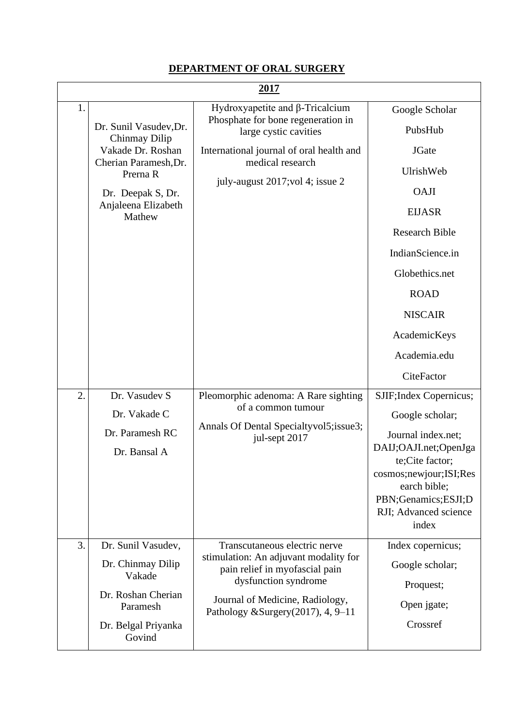#### **DEPARTMENT OF ORAL SURGERY**

|    | 2017                                                                                                                                                    |                                                                                                                                                                                                               |                                                                                                                                                                                                                                      |  |
|----|---------------------------------------------------------------------------------------------------------------------------------------------------------|---------------------------------------------------------------------------------------------------------------------------------------------------------------------------------------------------------------|--------------------------------------------------------------------------------------------------------------------------------------------------------------------------------------------------------------------------------------|--|
| 1. | Dr. Sunil Vasudev, Dr.<br>Chinmay Dilip<br>Vakade Dr. Roshan<br>Cherian Paramesh, Dr.<br>Prerna R<br>Dr. Deepak S, Dr.<br>Anjaleena Elizabeth<br>Mathew | Hydroxyapetite and $\beta$ -Tricalcium<br>Phosphate for bone regeneration in<br>large cystic cavities<br>International journal of oral health and<br>medical research<br>july-august 2017; vol 4; issue 2     | Google Scholar<br>PubsHub<br><b>JGate</b><br>UlrishWeb<br><b>OAJI</b><br><b>EIJASR</b><br><b>Research Bible</b><br>IndianScience.in<br>Globethics.net<br><b>ROAD</b><br><b>NISCAIR</b><br>AcademicKeys<br>Academia.edu<br>CiteFactor |  |
| 2. | Dr. Vasudev S<br>Dr. Vakade C<br>Dr. Paramesh RC<br>Dr. Bansal A                                                                                        | Pleomorphic adenoma: A Rare sighting<br>of a common tumour<br>Annals Of Dental Specialtyvol5; issue3;<br>jul-sept 2017                                                                                        | SJIF; Index Copernicus;<br>Google scholar;<br>Journal index.net;<br>DAIJ;OAJI.net;OpenJga<br>te;Cite factor;<br>cosmos;newjour;ISI;Res<br>earch bible;<br>PBN;Genamics;ESJI;D<br>RJI; Advanced science<br>index                      |  |
| 3. | Dr. Sunil Vasudev,<br>Dr. Chinmay Dilip<br>Vakade<br>Dr. Roshan Cherian<br>Paramesh<br>Dr. Belgal Priyanka<br>Govind                                    | Transcutaneous electric nerve<br>stimulation: An adjuvant modality for<br>pain relief in myofascial pain<br>dysfunction syndrome<br>Journal of Medicine, Radiology,<br>Pathology & Surgery $(2017)$ , 4, 9-11 | Index copernicus;<br>Google scholar;<br>Proquest;<br>Open jgate;<br>Crossref                                                                                                                                                         |  |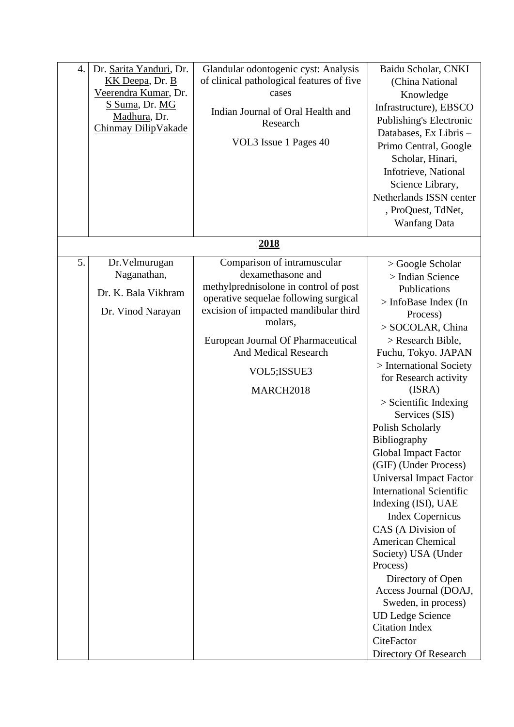| 4. | Dr. Sarita Yanduri, Dr.<br>KK Deepa, Dr. B<br>Veerendra Kumar, Dr.<br>S Suma, Dr. MG<br>Madhura, Dr.<br>Chinmay DilipVakade | Glandular odontogenic cyst: Analysis<br>of clinical pathological features of five<br>cases<br>Indian Journal of Oral Health and<br>Research<br>VOL3 Issue 1 Pages 40                                                                                                                     | Baidu Scholar, CNKI<br>(China National<br>Knowledge<br>Infrastructure), EBSCO<br>Publishing's Electronic<br>Databases, Ex Libris -<br>Primo Central, Google<br>Scholar, Hinari,<br>Infotrieve, National<br>Science Library,<br>Netherlands ISSN center<br>, ProQuest, TdNet,<br><b>Wanfang Data</b>                                                                                                                                                                                                                                                                                                                                                                                                                                         |
|----|-----------------------------------------------------------------------------------------------------------------------------|------------------------------------------------------------------------------------------------------------------------------------------------------------------------------------------------------------------------------------------------------------------------------------------|---------------------------------------------------------------------------------------------------------------------------------------------------------------------------------------------------------------------------------------------------------------------------------------------------------------------------------------------------------------------------------------------------------------------------------------------------------------------------------------------------------------------------------------------------------------------------------------------------------------------------------------------------------------------------------------------------------------------------------------------|
|    |                                                                                                                             | <u>2018</u>                                                                                                                                                                                                                                                                              |                                                                                                                                                                                                                                                                                                                                                                                                                                                                                                                                                                                                                                                                                                                                             |
| 5. | Dr. Velmurugan<br>Naganathan,<br>Dr. K. Bala Vikhram<br>Dr. Vinod Narayan                                                   | Comparison of intramuscular<br>dexamethasone and<br>methylprednisolone in control of post<br>operative sequelae following surgical<br>excision of impacted mandibular third<br>molars,<br>European Journal Of Pharmaceutical<br><b>And Medical Research</b><br>VOL5; ISSUE3<br>MARCH2018 | > Google Scholar<br>> Indian Science<br>Publications<br>> InfoBase Index (In<br>Process)<br>> SOCOLAR, China<br>> Research Bible,<br>Fuchu, Tokyo. JAPAN<br>> International Society<br>for Research activity<br>(ISRA)<br>$>$ Scientific Indexing<br>Services (SIS)<br>Polish Scholarly<br>Bibliography<br><b>Global Impact Factor</b><br>(GIF) (Under Process)<br><b>Universal Impact Factor</b><br><b>International Scientific</b><br>Indexing (ISI), UAE<br><b>Index Copernicus</b><br>CAS (A Division of<br><b>American Chemical</b><br>Society) USA (Under<br>Process)<br>Directory of Open<br>Access Journal (DOAJ,<br>Sweden, in process)<br><b>UD Ledge Science</b><br><b>Citation Index</b><br>CiteFactor<br>Directory Of Research |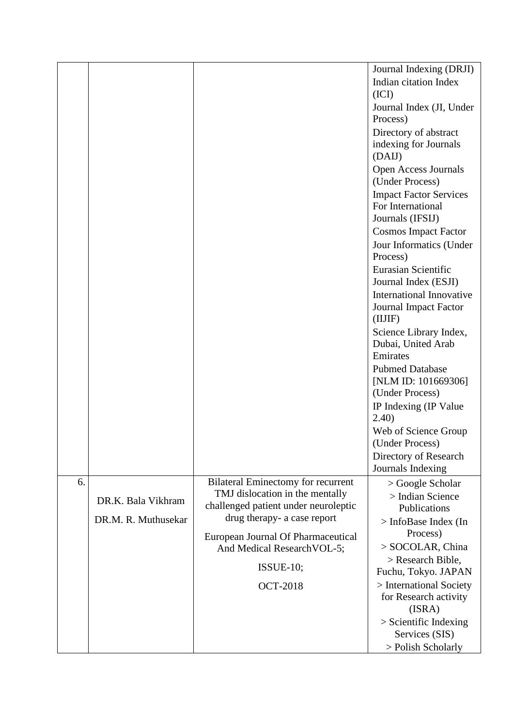|    |                     |                                                                         | Journal Indexing (DRJI)                                          |
|----|---------------------|-------------------------------------------------------------------------|------------------------------------------------------------------|
|    |                     |                                                                         | Indian citation Index<br>(ICI)                                   |
|    |                     |                                                                         | Journal Index (JI, Under<br>Process)                             |
|    |                     |                                                                         | Directory of abstract                                            |
|    |                     |                                                                         | indexing for Journals<br>(DAIJ)                                  |
|    |                     |                                                                         | Open Access Journals<br>(Under Process)                          |
|    |                     |                                                                         | <b>Impact Factor Services</b>                                    |
|    |                     |                                                                         | For International<br>Journals (IFSIJ)                            |
|    |                     |                                                                         | <b>Cosmos Impact Factor</b>                                      |
|    |                     |                                                                         | Jour Informatics (Under                                          |
|    |                     |                                                                         | Process)                                                         |
|    |                     |                                                                         | <b>Eurasian Scientific</b><br>Journal Index (ESJI)               |
|    |                     |                                                                         | International Innovative<br>Journal Impact Factor<br>(IIIIF)     |
|    |                     |                                                                         | Science Library Index,<br>Dubai, United Arab<br>Emirates         |
|    |                     |                                                                         | <b>Pubmed Database</b><br>[NLM ID: 101669306]<br>(Under Process) |
|    |                     |                                                                         | IP Indexing (IP Value<br>(2.40)                                  |
|    |                     |                                                                         | Web of Science Group<br>(Under Process)                          |
|    |                     |                                                                         | Directory of Research<br>Journals Indexing                       |
| 6. |                     | <b>Bilateral Eminectomy for recurrent</b>                               | $>$ Google Scholar                                               |
|    | DR.K. Bala Vikhram  | TMJ dislocation in the mentally<br>challenged patient under neuroleptic | > Indian Science                                                 |
|    | DR.M. R. Muthusekar | drug therapy- a case report                                             | <b>Publications</b>                                              |
|    |                     |                                                                         | > InfoBase Index (In<br>Process)                                 |
|    |                     | European Journal Of Pharmaceutical<br>And Medical Research VOL-5;       | > SOCOLAR, China                                                 |
|    |                     |                                                                         | > Research Bible,                                                |
|    |                     | $ISSUE-10;$                                                             | Fuchu, Tokyo. JAPAN                                              |
|    |                     | <b>OCT-2018</b>                                                         | > International Society                                          |
|    |                     |                                                                         | for Research activity<br>(ISRA)                                  |
|    |                     |                                                                         | $>$ Scientific Indexing                                          |
|    |                     |                                                                         | Services (SIS)                                                   |
|    |                     |                                                                         | > Polish Scholarly                                               |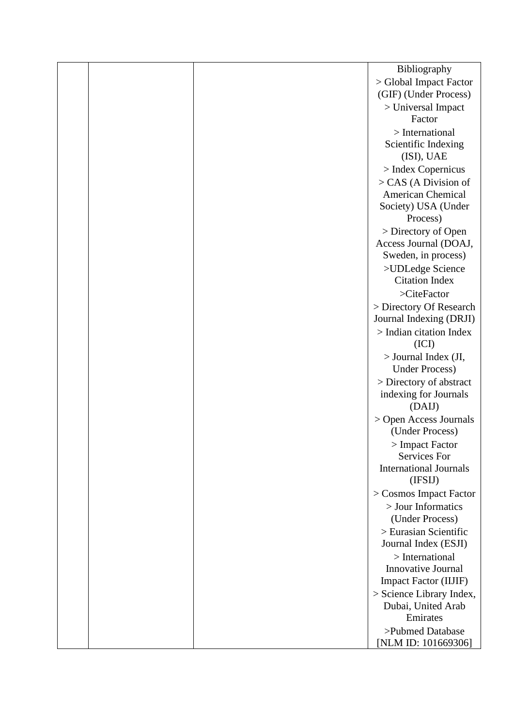|  | Bibliography                                  |
|--|-----------------------------------------------|
|  | > Global Impact Factor                        |
|  | (GIF) (Under Process)                         |
|  | > Universal Impact                            |
|  | Factor                                        |
|  | $>$ International                             |
|  | Scientific Indexing                           |
|  | (ISI), UAE                                    |
|  | $>$ Index Copernicus                          |
|  | $>$ CAS (A Division of                        |
|  | <b>American Chemical</b>                      |
|  | Society) USA (Under                           |
|  | Process)                                      |
|  | > Directory of Open                           |
|  | Access Journal (DOAJ,                         |
|  | Sweden, in process)                           |
|  | >UDLedge Science                              |
|  | <b>Citation Index</b>                         |
|  | >CiteFactor                                   |
|  | > Directory Of Research                       |
|  | Journal Indexing (DRJI)                       |
|  | $>$ Indian citation Index                     |
|  | (ICI)                                         |
|  | > Journal Index (JI,                          |
|  | <b>Under Process)</b>                         |
|  | > Directory of abstract                       |
|  | indexing for Journals                         |
|  | (DAIJ)                                        |
|  | > Open Access Journals                        |
|  | (Under Process)                               |
|  | > Impact Factor                               |
|  | Services For<br><b>International Journals</b> |
|  | (IFSIJ)                                       |
|  | > Cosmos Impact Factor                        |
|  | > Jour Informatics                            |
|  | (Under Process)                               |
|  | > Eurasian Scientific                         |
|  | Journal Index (ESJI)                          |
|  | $>$ International                             |
|  | Innovative Journal                            |
|  | <b>Impact Factor (IIJIF)</b>                  |
|  | $>$ Science Library Index,                    |
|  | Dubai, United Arab                            |
|  | Emirates                                      |
|  | >Pubmed Database                              |
|  | [NLM ID: 101669306]                           |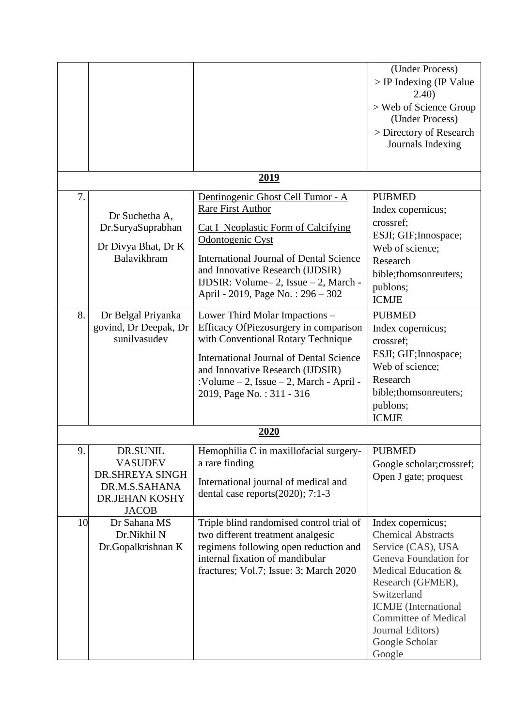|    |                                                                                                  |                                                                                                                                                                                                                                                                                                    | (Under Process)<br>> IP Indexing (IP Value                                                                                                                                                                                                                             |
|----|--------------------------------------------------------------------------------------------------|----------------------------------------------------------------------------------------------------------------------------------------------------------------------------------------------------------------------------------------------------------------------------------------------------|------------------------------------------------------------------------------------------------------------------------------------------------------------------------------------------------------------------------------------------------------------------------|
|    |                                                                                                  |                                                                                                                                                                                                                                                                                                    | (2.40)<br>> Web of Science Group<br>(Under Process)<br>> Directory of Research<br>Journals Indexing                                                                                                                                                                    |
|    |                                                                                                  | 2019                                                                                                                                                                                                                                                                                               |                                                                                                                                                                                                                                                                        |
| 7. | Dr Suchetha A,<br>Dr.SuryaSuprabhan<br>Dr Divya Bhat, Dr K<br>Balavikhram                        | Dentinogenic Ghost Cell Tumor - A<br><b>Rare First Author</b><br><b>Cat I Neoplastic Form of Calcifying</b><br>Odontogenic Cyst<br><b>International Journal of Dental Science</b><br>and Innovative Research (IJDSIR)<br>IJDSIR: Volume-2, Issue - 2, March -<br>April - 2019, Page No.: 296 - 302 | <b>PUBMED</b><br>Index copernicus;<br>crossref;<br>ESJI; GIF; Innospace;<br>Web of science;<br>Research<br>bible;thomsonreuters;<br>publons;<br><b>ICMJE</b>                                                                                                           |
| 8. | Dr Belgal Priyanka<br>govind, Dr Deepak, Dr<br>sunilvasudev                                      | Lower Third Molar Impactions -<br>Efficacy OfPiezosurgery in comparison<br>with Conventional Rotary Technique<br><b>International Journal of Dental Science</b><br>and Innovative Research (IJDSIR)<br>:Volume - 2, Issue - 2, March - April -<br>2019, Page No.: 311 - 316                        | <b>PUBMED</b><br>Index copernicus;<br>crossref;<br>ESJI; GIF; Innospace;<br>Web of science;<br>Research<br>bible; thomson reuters;<br>publons;<br><b>ICMJE</b>                                                                                                         |
|    |                                                                                                  | 2020                                                                                                                                                                                                                                                                                               |                                                                                                                                                                                                                                                                        |
| 9. | DR.SUNIL<br><b>VASUDEV</b><br>DR.SHREYA SINGH<br>DR.M.S.SAHANA<br>DR.JEHAN KOSHY<br><b>JACOB</b> | Hemophilia C in maxillofacial surgery-<br>a rare finding<br>International journal of medical and<br>dental case reports $(2020)$ ; 7:1-3                                                                                                                                                           | <b>PUBMED</b><br>Google scholar; crossref;<br>Open J gate; proquest                                                                                                                                                                                                    |
| 10 | Dr Sahana MS<br>Dr.Nikhil N<br>Dr.Gopalkrishnan K                                                | Triple blind randomised control trial of<br>two different treatment analgesic<br>regimens following open reduction and<br>internal fixation of mandibular<br>fractures; Vol.7; Issue: 3; March 2020                                                                                                | Index copernicus;<br><b>Chemical Abstracts</b><br>Service (CAS), USA<br>Geneva Foundation for<br>Medical Education &<br>Research (GFMER),<br>Switzerland<br><b>ICMJE</b> (International<br><b>Committee of Medical</b><br>Journal Editors)<br>Google Scholar<br>Google |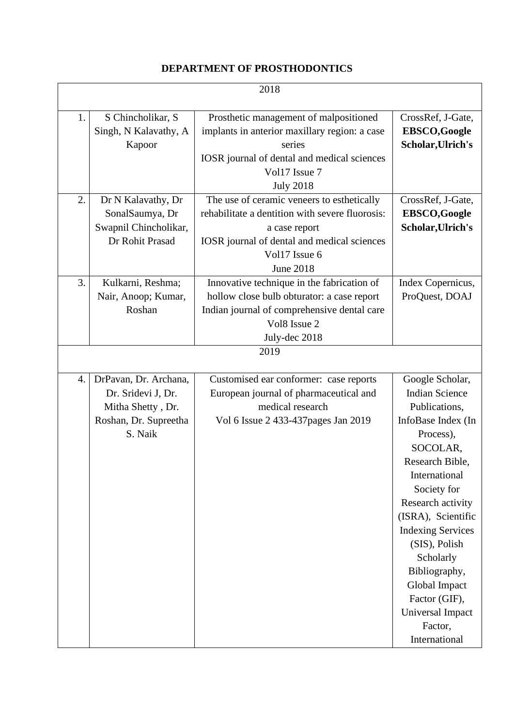#### **DEPARTMENT OF PROSTHODONTICS**

| 2018 |                                                                                                      |                                                                                                                                                                                                    |                                                                                                                                                                                                                                                                                                                                                                     |
|------|------------------------------------------------------------------------------------------------------|----------------------------------------------------------------------------------------------------------------------------------------------------------------------------------------------------|---------------------------------------------------------------------------------------------------------------------------------------------------------------------------------------------------------------------------------------------------------------------------------------------------------------------------------------------------------------------|
| 1.   | S Chincholikar, S<br>Singh, N Kalavathy, A<br>Kapoor                                                 | Prosthetic management of malpositioned<br>implants in anterior maxillary region: a case<br>series<br>IOSR journal of dental and medical sciences<br>Vol17 Issue 7<br><b>July 2018</b>              | CrossRef, J-Gate,<br><b>EBSCO,Google</b><br>Scholar, Ulrich's                                                                                                                                                                                                                                                                                                       |
| 2.   | Dr N Kalavathy, Dr<br>SonalSaumya, Dr<br>Swapnil Chincholikar,<br>Dr Rohit Prasad                    | The use of ceramic veneers to esthetically<br>rehabilitate a dentition with severe fluorosis:<br>a case report<br>IOSR journal of dental and medical sciences<br>Vol17 Issue 6<br><b>June 2018</b> | CrossRef, J-Gate,<br><b>EBSCO,Google</b><br>Scholar, Ulrich's                                                                                                                                                                                                                                                                                                       |
| 3.   | Kulkarni, Reshma;<br>Nair, Anoop; Kumar,<br>Roshan                                                   | Innovative technique in the fabrication of<br>hollow close bulb obturator: a case report<br>Indian journal of comprehensive dental care<br>Vol8 Issue 2<br>July-dec 2018                           | Index Copernicus,<br>ProQuest, DOAJ                                                                                                                                                                                                                                                                                                                                 |
|      |                                                                                                      | 2019                                                                                                                                                                                               |                                                                                                                                                                                                                                                                                                                                                                     |
| 4.   | DrPavan, Dr. Archana,<br>Dr. Sridevi J, Dr.<br>Mitha Shetty, Dr.<br>Roshan, Dr. Supreetha<br>S. Naik | Customised ear conformer: case reports<br>European journal of pharmaceutical and<br>medical research<br>Vol 6 Issue 2 433-437 pages Jan 2019                                                       | Google Scholar,<br><b>Indian Science</b><br>Publications,<br>InfoBase Index (In<br>Process),<br>SOCOLAR,<br>Research Bible,<br>International<br>Society for<br>Research activity<br>(ISRA), Scientific<br><b>Indexing Services</b><br>(SIS), Polish<br>Scholarly<br>Bibliography,<br>Global Impact<br>Factor (GIF),<br>Universal Impact<br>Factor,<br>International |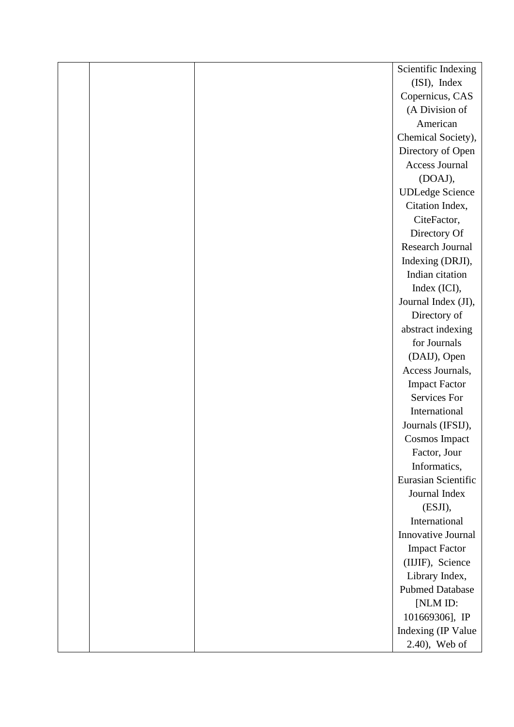|  | Scientific Indexing     |
|--|-------------------------|
|  | (ISI), Index            |
|  | Copernicus, CAS         |
|  | (A Division of          |
|  | American                |
|  | Chemical Society),      |
|  | Directory of Open       |
|  | <b>Access Journal</b>   |
|  | (DOAJ),                 |
|  | <b>UDLedge Science</b>  |
|  | Citation Index,         |
|  | CiteFactor,             |
|  | Directory Of            |
|  | <b>Research Journal</b> |
|  | Indexing (DRJI),        |
|  | Indian citation         |
|  | Index (ICI),            |
|  | Journal Index (JI),     |
|  | Directory of            |
|  | abstract indexing       |
|  | for Journals            |
|  | (DAIJ), Open            |
|  | Access Journals,        |
|  | <b>Impact Factor</b>    |
|  | <b>Services For</b>     |
|  | International           |
|  | Journals (IFSIJ),       |
|  | Cosmos Impact           |
|  | Factor, Jour            |
|  | Informatics,            |
|  | Eurasian Scientific     |
|  | Journal Index           |
|  | (ESJI),                 |
|  | International           |
|  | Innovative Journal      |
|  | <b>Impact Factor</b>    |
|  | (IIJIF), Science        |
|  | Library Index,          |
|  | <b>Pubmed Database</b>  |
|  | [NLM ID:                |
|  | 101669306], IP          |
|  | Indexing (IP Value      |
|  | 2.40), Web of           |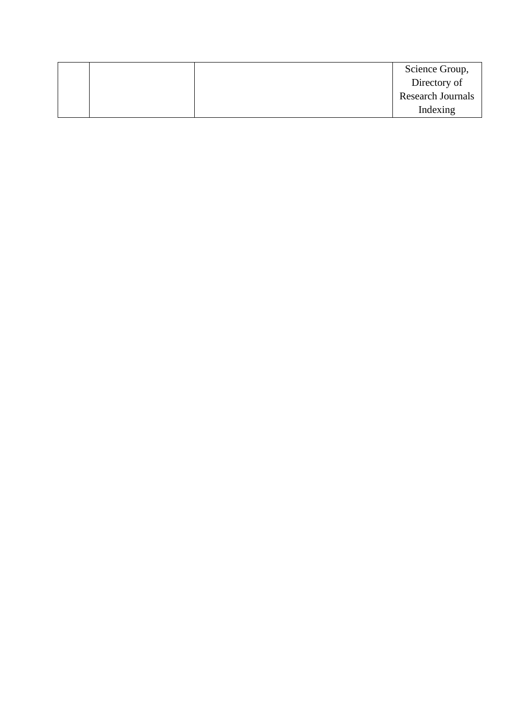|  | Science Group,           |
|--|--------------------------|
|  | Directory of             |
|  | <b>Research Journals</b> |
|  | Indexing                 |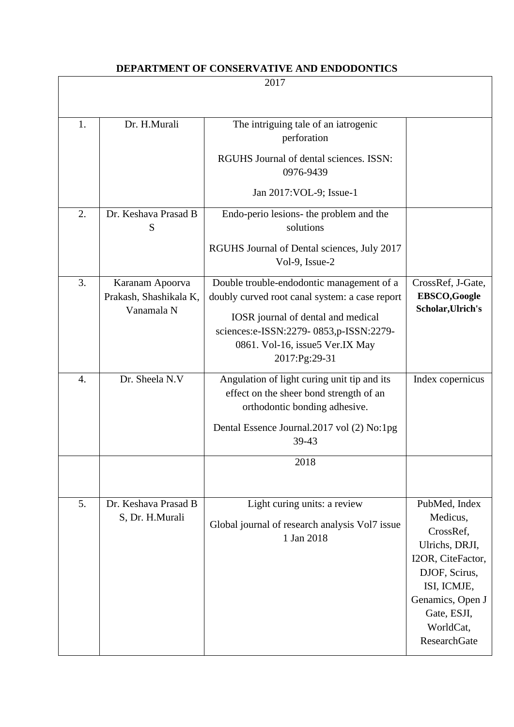#### **DEPARTMENT OF CONSERVATIVE AND ENDODONTICS**

| 2017 |                                                         |                                                                                                                                                                                                                                 |                                                                                                                                                                               |
|------|---------------------------------------------------------|---------------------------------------------------------------------------------------------------------------------------------------------------------------------------------------------------------------------------------|-------------------------------------------------------------------------------------------------------------------------------------------------------------------------------|
|      |                                                         |                                                                                                                                                                                                                                 |                                                                                                                                                                               |
| 1.   | Dr. H.Murali                                            | The intriguing tale of an iatrogenic<br>perforation                                                                                                                                                                             |                                                                                                                                                                               |
|      |                                                         | RGUHS Journal of dental sciences. ISSN:<br>0976-9439                                                                                                                                                                            |                                                                                                                                                                               |
|      |                                                         | Jan 2017: VOL-9; Issue-1                                                                                                                                                                                                        |                                                                                                                                                                               |
| 2.   | Dr. Keshava Prasad B<br>S                               | Endo-perio lesions- the problem and the<br>solutions                                                                                                                                                                            |                                                                                                                                                                               |
|      |                                                         | RGUHS Journal of Dental sciences, July 2017<br>Vol-9, Issue-2                                                                                                                                                                   |                                                                                                                                                                               |
| 3.   | Karanam Apoorva<br>Prakash, Shashikala K,<br>Vanamala N | Double trouble-endodontic management of a<br>doubly curved root canal system: a case report<br>IOSR journal of dental and medical<br>sciences:e-ISSN:2279-0853,p-ISSN:2279-<br>0861. Vol-16, issue5 Ver.IX May<br>2017:Pg:29-31 | CrossRef, J-Gate,<br>EBSCO,Google<br>Scholar, Ulrich's                                                                                                                        |
| 4.   | Dr. Sheela N.V                                          | Angulation of light curing unit tip and its<br>effect on the sheer bond strength of an<br>orthodontic bonding adhesive.<br>Dental Essence Journal.2017 vol (2) No:1pg<br>39-43                                                  | Index copernicus                                                                                                                                                              |
|      |                                                         | 2018                                                                                                                                                                                                                            |                                                                                                                                                                               |
| 5.   | Dr. Keshava Prasad B<br>S, Dr. H.Murali                 | Light curing units: a review<br>Global journal of research analysis Vol7 issue<br>1 Jan 2018                                                                                                                                    | PubMed, Index<br>Medicus,<br>CrossRef,<br>Ulrichs, DRJI,<br>I2OR, CiteFactor,<br>DJOF, Scirus,<br>ISI, ICMJE,<br>Genamics, Open J<br>Gate, ESJI,<br>WorldCat,<br>ResearchGate |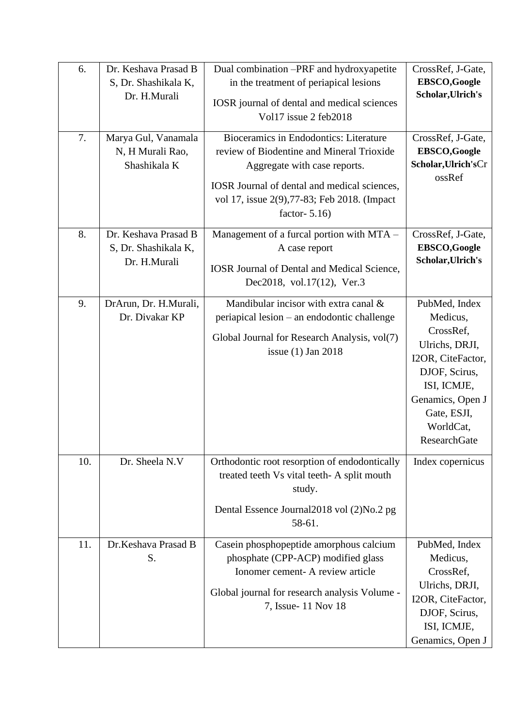| 6.  | Dr. Keshava Prasad B<br>S, Dr. Shashikala K,<br>Dr. H.Murali | Dual combination -PRF and hydroxyapetite<br>in the treatment of periapical lesions<br>IOSR journal of dental and medical sciences<br>Vol17 issue 2 feb2018                                                                              | CrossRef, J-Gate,<br>EBSCO,Google<br>Scholar, Ulrich's                                                                                                                               |
|-----|--------------------------------------------------------------|-----------------------------------------------------------------------------------------------------------------------------------------------------------------------------------------------------------------------------------------|--------------------------------------------------------------------------------------------------------------------------------------------------------------------------------------|
| 7.  | Marya Gul, Vanamala<br>N, H Murali Rao,<br>Shashikala K      | Bioceramics in Endodontics: Literature<br>review of Biodentine and Mineral Trioxide<br>Aggregate with case reports.<br>IOSR Journal of dental and medical sciences,<br>vol 17, issue 2(9), 77-83; Feb 2018. (Impact<br>factor- $5.16$ ) | CrossRef, J-Gate,<br>EBSCO,Google<br>Scholar, Ulrich's Cr<br>ossRef                                                                                                                  |
| 8.  | Dr. Keshava Prasad B<br>S, Dr. Shashikala K,<br>Dr. H.Murali | Management of a furcal portion with MTA -<br>A case report<br><b>IOSR Journal of Dental and Medical Science,</b><br>Dec2018, vol.17(12), Ver.3                                                                                          | CrossRef, J-Gate,<br>EBSCO,Google<br>Scholar, Ulrich's                                                                                                                               |
| 9.  | DrArun, Dr. H.Murali,<br>Dr. Divakar KP                      | Mandibular incisor with extra canal &<br>periapical lesion – an endodontic challenge<br>Global Journal for Research Analysis, vol(7)<br>issue $(1)$ Jan 2018                                                                            | PubMed, Index<br>Medicus,<br>CrossRef,<br>Ulrichs, DRJI,<br>I2OR, CiteFactor,<br>DJOF, Scirus,<br>ISI, ICMJE,<br>Genamics, Open J<br>Gate, ESJI,<br>WorldCat,<br><b>ResearchGate</b> |
| 10. | Dr. Sheela N.V                                               | Orthodontic root resorption of endodontically<br>treated teeth Vs vital teeth- A split mouth<br>study.<br>Dental Essence Journal 2018 vol (2) No.2 pg<br>58-61.                                                                         | Index copernicus                                                                                                                                                                     |
| 11. | Dr.Keshava Prasad B<br>S.                                    | Casein phosphopeptide amorphous calcium<br>phosphate (CPP-ACP) modified glass<br>Ionomer cement- A review article<br>Global journal for research analysis Volume -<br>7, Issue- 11 Nov 18                                               | PubMed, Index<br>Medicus,<br>CrossRef,<br>Ulrichs, DRJI,<br>I2OR, CiteFactor,<br>DJOF, Scirus,<br>ISI, ICMJE,<br>Genamics, Open J                                                    |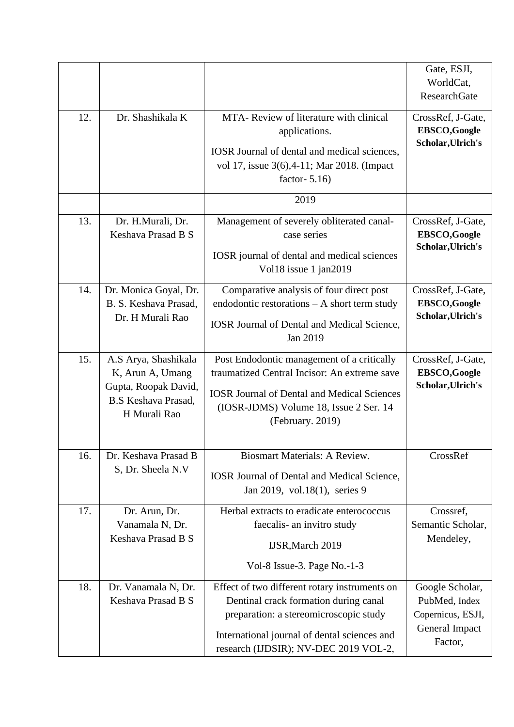| 12. | Dr. Shashikala K                                                                                               | MTA-Review of literature with clinical                                                                                                                                                                                    | Gate, ESJI,<br>WorldCat,<br><b>ResearchGate</b><br>CrossRef, J-Gate,               |
|-----|----------------------------------------------------------------------------------------------------------------|---------------------------------------------------------------------------------------------------------------------------------------------------------------------------------------------------------------------------|------------------------------------------------------------------------------------|
|     |                                                                                                                | applications.<br>IOSR Journal of dental and medical sciences,<br>vol 17, issue 3(6), 4-11; Mar 2018. (Impact<br>factor- $5.16$ )                                                                                          | <b>EBSCO,Google</b><br>Scholar, Ulrich's                                           |
|     |                                                                                                                | 2019                                                                                                                                                                                                                      |                                                                                    |
| 13. | Dr. H.Murali, Dr.<br>Keshava Prasad B S                                                                        | Management of severely obliterated canal-<br>case series<br>IOSR journal of dental and medical sciences<br>Vol18 issue 1 jan2019                                                                                          | CrossRef, J-Gate,<br><b>EBSCO,Google</b><br>Scholar, Ulrich's                      |
| 14. | Dr. Monica Goyal, Dr.<br>B. S. Keshava Prasad,<br>Dr. H Murali Rao                                             | Comparative analysis of four direct post<br>endodontic restorations - A short term study<br><b>IOSR Journal of Dental and Medical Science,</b><br>Jan 2019                                                                | CrossRef, J-Gate,<br><b>EBSCO,Google</b><br>Scholar, Ulrich's                      |
| 15. | A.S Arya, Shashikala<br>K, Arun A, Umang<br>Gupta, Roopak David,<br><b>B.S Keshava Prasad,</b><br>H Murali Rao | Post Endodontic management of a critically<br>traumatized Central Incisor: An extreme save<br><b>IOSR Journal of Dental and Medical Sciences</b><br>(IOSR-JDMS) Volume 18, Issue 2 Ser. 14<br>(February. 2019)            | CrossRef, J-Gate,<br><b>EBSCO,Google</b><br>Scholar, Ulrich's                      |
| 16. | Dr. Keshava Prasad B<br>S, Dr. Sheela N.V                                                                      | <b>Biosmart Materials: A Review.</b><br><b>IOSR Journal of Dental and Medical Science,</b><br>Jan 2019, vol.18(1), series 9                                                                                               | CrossRef                                                                           |
| 17. | Dr. Arun, Dr.<br>Vanamala N, Dr.<br>Keshava Prasad B S                                                         | Herbal extracts to eradicate enterococcus<br>faecalis- an invitro study<br><b>IJSR, March 2019</b><br>Vol-8 Issue-3. Page No.-1-3                                                                                         | Crossref,<br>Semantic Scholar,<br>Mendeley,                                        |
| 18. | Dr. Vanamala N, Dr.<br>Keshava Prasad B S                                                                      | Effect of two different rotary instruments on<br>Dentinal crack formation during canal<br>preparation: a stereomicroscopic study<br>International journal of dental sciences and<br>research (IJDSIR); NV-DEC 2019 VOL-2, | Google Scholar,<br>PubMed, Index<br>Copernicus, ESJI,<br>General Impact<br>Factor, |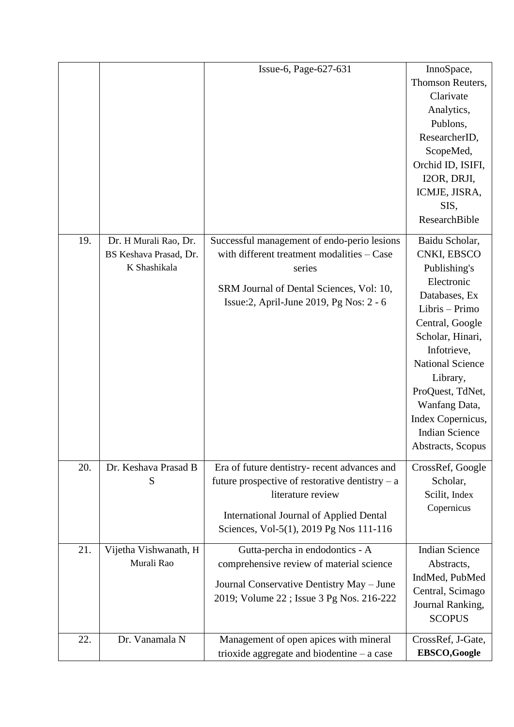|     |                                     | Issue-6, Page-627-631                             | InnoSpace,                         |
|-----|-------------------------------------|---------------------------------------------------|------------------------------------|
|     |                                     |                                                   | Thomson Reuters,                   |
|     |                                     |                                                   | Clarivate                          |
|     |                                     |                                                   | Analytics,                         |
|     |                                     |                                                   | Publons,                           |
|     |                                     |                                                   | ResearcherID,                      |
|     |                                     |                                                   | ScopeMed,                          |
|     |                                     |                                                   | Orchid ID, ISIFI,                  |
|     |                                     |                                                   | I2OR, DRJI,                        |
|     |                                     |                                                   | ICMJE, JISRA,                      |
|     |                                     |                                                   | SIS,                               |
|     |                                     |                                                   | ResearchBible                      |
| 19. | Dr. H Murali Rao, Dr.               | Successful management of endo-perio lesions       | Baidu Scholar,                     |
|     | BS Keshava Prasad, Dr.              | with different treatment modalities - Case        | CNKI, EBSCO                        |
|     | K Shashikala                        | series                                            | Publishing's                       |
|     |                                     |                                                   | Electronic                         |
|     |                                     | SRM Journal of Dental Sciences, Vol: 10,          | Databases, Ex                      |
|     |                                     | Issue: 2, April-June 2019, Pg Nos: 2 - 6          | Libris - Primo                     |
|     |                                     |                                                   | Central, Google                    |
|     |                                     |                                                   | Scholar, Hinari,                   |
|     |                                     |                                                   | Infotrieve,                        |
|     |                                     |                                                   | <b>National Science</b>            |
|     |                                     |                                                   | Library,                           |
|     |                                     |                                                   | ProQuest, TdNet,                   |
|     |                                     |                                                   | Wanfang Data,                      |
|     |                                     |                                                   | Index Copernicus,                  |
|     |                                     |                                                   | <b>Indian Science</b>              |
|     |                                     |                                                   | Abstracts, Scopus                  |
| 20. | Dr. Keshava Prasad B                | Era of future dentistry- recent advances and      | CrossRef, Google                   |
|     | S                                   | future prospective of restorative dentistry $- a$ | Scholar,                           |
|     |                                     | literature review                                 | Scilit, Index                      |
|     |                                     | <b>International Journal of Applied Dental</b>    | Copernicus                         |
|     |                                     | Sciences, Vol-5(1), 2019 Pg Nos 111-116           |                                    |
|     |                                     |                                                   |                                    |
| 21. | Vijetha Vishwanath, H<br>Murali Rao | Gutta-percha in endodontics - A                   | <b>Indian Science</b>              |
|     |                                     | comprehensive review of material science          | Abstracts,                         |
|     |                                     | Journal Conservative Dentistry May - June         | IndMed, PubMed<br>Central, Scimago |
|     |                                     | 2019; Volume 22; Issue 3 Pg Nos. 216-222          |                                    |
|     |                                     |                                                   | Journal Ranking,<br><b>SCOPUS</b>  |
|     |                                     |                                                   |                                    |
| 22. | Dr. Vanamala N                      | Management of open apices with mineral            | CrossRef, J-Gate,                  |
|     |                                     | trioxide aggregate and biodentine - a case        | EBSCO,Google                       |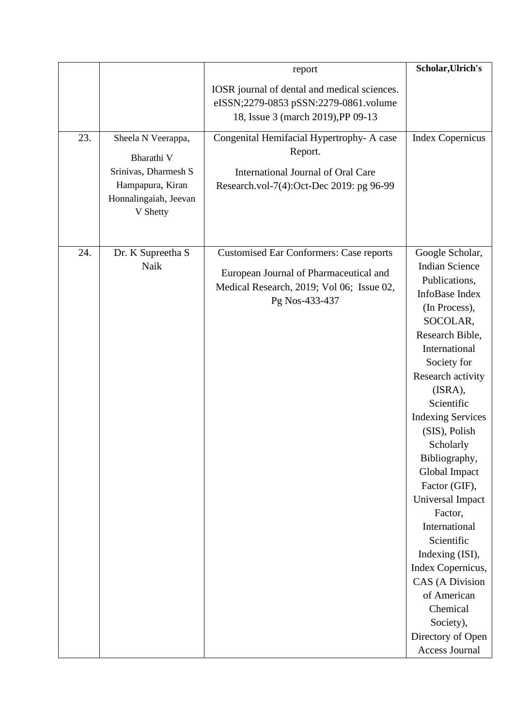|     |                                                                                                                   | report                                                                                                                                                  | Scholar, Ulrich's                                                                                                                                                                                                                                                                                                                                                                                                                                                                                                                     |
|-----|-------------------------------------------------------------------------------------------------------------------|---------------------------------------------------------------------------------------------------------------------------------------------------------|---------------------------------------------------------------------------------------------------------------------------------------------------------------------------------------------------------------------------------------------------------------------------------------------------------------------------------------------------------------------------------------------------------------------------------------------------------------------------------------------------------------------------------------|
|     |                                                                                                                   | IOSR journal of dental and medical sciences.<br>eISSN;2279-0853 pSSN:2279-0861.volume<br>18, Issue 3 (march 2019), PP 09-13                             |                                                                                                                                                                                                                                                                                                                                                                                                                                                                                                                                       |
| 23. | Sheela N Veerappa,<br>Bharathi V<br>Srinivas, Dharmesh S<br>Hampapura, Kiran<br>Honnalingaiah, Jeevan<br>V Shetty | Congenital Hemifacial Hypertrophy- A case<br>Report.<br>International Journal of Oral Care<br>Research.vol-7(4):Oct-Dec 2019: pg 96-99                  | <b>Index Copernicus</b>                                                                                                                                                                                                                                                                                                                                                                                                                                                                                                               |
| 24. | Dr. K Supreetha S<br>Naik                                                                                         | <b>Customised Ear Conformers: Case reports</b><br>European Journal of Pharmaceutical and<br>Medical Research, 2019; Vol 06; Issue 02,<br>Pg Nos-433-437 | Google Scholar,<br><b>Indian Science</b><br>Publications,<br>InfoBase Index<br>(In Process),<br>SOCOLAR,<br>Research Bible,<br>International<br>Society for<br>Research activity<br>(ISRA),<br>Scientific<br><b>Indexing Services</b><br>(SIS), Polish<br>Scholarly<br>Bibliography,<br>Global Impact<br>Factor (GIF),<br>Universal Impact<br>Factor,<br>International<br>Scientific<br>Indexing (ISI),<br>Index Copernicus,<br><b>CAS</b> (A Division<br>of American<br>Chemical<br>Society),<br>Directory of Open<br>Access Journal |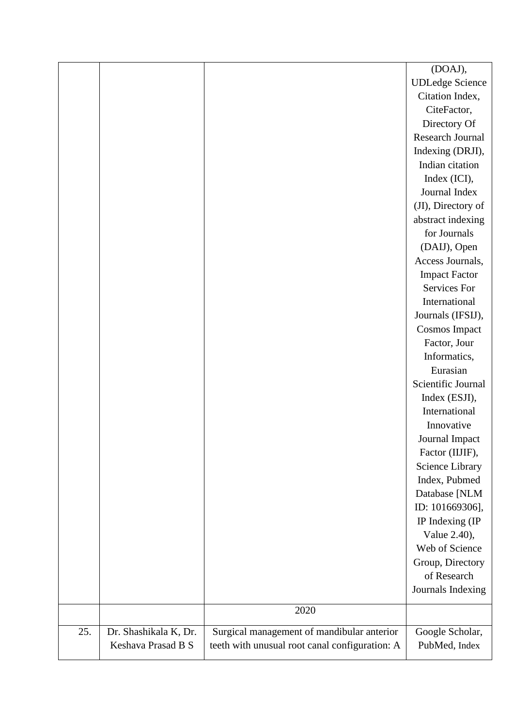|     |                       |                                                | (DOAJ),                |
|-----|-----------------------|------------------------------------------------|------------------------|
|     |                       |                                                | <b>UDLedge Science</b> |
|     |                       |                                                | Citation Index,        |
|     |                       |                                                | CiteFactor,            |
|     |                       |                                                | Directory Of           |
|     |                       |                                                | Research Journal       |
|     |                       |                                                | Indexing (DRJI),       |
|     |                       |                                                | Indian citation        |
|     |                       |                                                | Index (ICI),           |
|     |                       |                                                | Journal Index          |
|     |                       |                                                | (JI), Directory of     |
|     |                       |                                                | abstract indexing      |
|     |                       |                                                | for Journals           |
|     |                       |                                                | (DAIJ), Open           |
|     |                       |                                                | Access Journals,       |
|     |                       |                                                | <b>Impact Factor</b>   |
|     |                       |                                                | Services For           |
|     |                       |                                                | International          |
|     |                       |                                                | Journals (IFSIJ),      |
|     |                       |                                                | <b>Cosmos Impact</b>   |
|     |                       |                                                | Factor, Jour           |
|     |                       |                                                | Informatics,           |
|     |                       |                                                | Eurasian               |
|     |                       |                                                | Scientific Journal     |
|     |                       |                                                | Index (ESJI),          |
|     |                       |                                                | International          |
|     |                       |                                                | Innovative             |
|     |                       |                                                | Journal Impact         |
|     |                       |                                                | Factor (IIJIF),        |
|     |                       |                                                | Science Library        |
|     |                       |                                                | Index, Pubmed          |
|     |                       |                                                | Database [NLM          |
|     |                       |                                                | ID: 101669306],        |
|     |                       |                                                | IP Indexing (IP        |
|     |                       |                                                | Value 2.40),           |
|     |                       |                                                | Web of Science         |
|     |                       |                                                | Group, Directory       |
|     |                       |                                                | of Research            |
|     |                       |                                                | Journals Indexing      |
|     |                       | 2020                                           |                        |
|     |                       |                                                |                        |
| 25. | Dr. Shashikala K, Dr. | Surgical management of mandibular anterior     | Google Scholar,        |
|     | Keshava Prasad B S    | teeth with unusual root canal configuration: A | PubMed, Index          |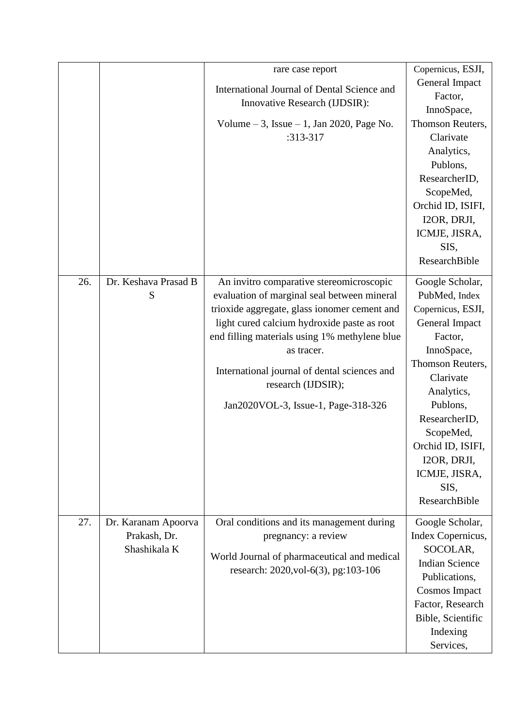|     |                                                     | rare case report<br>International Journal of Dental Science and<br>Innovative Research (IJDSIR):<br>Volume $-3$ , Issue $-1$ , Jan 2020, Page No.<br>:313-317                                                                                                                                                                                                      | Copernicus, ESJI,<br>General Impact<br>Factor,<br>InnoSpace,<br>Thomson Reuters,<br>Clarivate<br>Analytics,<br>Publons,<br>ResearcherID,<br>ScopeMed,<br>Orchid ID, ISIFI,<br>I2OR, DRJI,<br>ICMJE, JISRA,<br>SIS,<br>ResearchBible                                     |
|-----|-----------------------------------------------------|--------------------------------------------------------------------------------------------------------------------------------------------------------------------------------------------------------------------------------------------------------------------------------------------------------------------------------------------------------------------|-------------------------------------------------------------------------------------------------------------------------------------------------------------------------------------------------------------------------------------------------------------------------|
| 26. | Dr. Keshava Prasad B<br>S                           | An invitro comparative stereomicroscopic<br>evaluation of marginal seal between mineral<br>trioxide aggregate, glass ionomer cement and<br>light cured calcium hydroxide paste as root<br>end filling materials using 1% methylene blue<br>as tracer.<br>International journal of dental sciences and<br>research (IJDSIR);<br>Jan2020VOL-3, Issue-1, Page-318-326 | Google Scholar,<br>PubMed, Index<br>Copernicus, ESJI,<br>General Impact<br>Factor,<br>InnoSpace,<br>Thomson Reuters,<br>Clarivate<br>Analytics,<br>Publons,<br>ResearcherID,<br>ScopeMed,<br>Orchid ID, ISIFI,<br>I2OR, DRJI,<br>ICMJE, JISRA,<br>SIS,<br>ResearchBible |
| 27. | Dr. Karanam Apoorva<br>Prakash, Dr.<br>Shashikala K | Oral conditions and its management during<br>pregnancy: a review<br>World Journal of pharmaceutical and medical<br>research: 2020, vol-6(3), pg:103-106                                                                                                                                                                                                            | Google Scholar,<br>Index Copernicus,<br>SOCOLAR,<br><b>Indian Science</b><br>Publications,<br><b>Cosmos Impact</b><br>Factor, Research<br>Bible, Scientific<br>Indexing<br>Services,                                                                                    |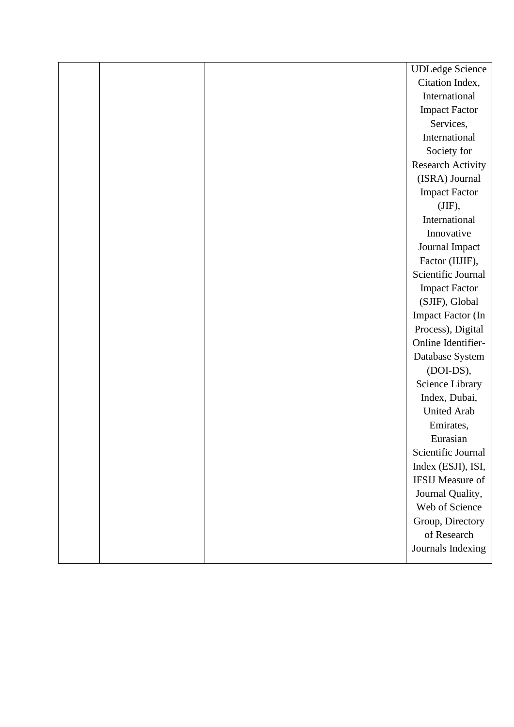|  | <b>UDLedge Science</b>   |
|--|--------------------------|
|  | Citation Index,          |
|  | International            |
|  | <b>Impact Factor</b>     |
|  | Services,                |
|  | International            |
|  | Society for              |
|  | Research Activity        |
|  | (ISRA) Journal           |
|  | <b>Impact Factor</b>     |
|  | (JIF),                   |
|  | International            |
|  | Innovative               |
|  | Journal Impact           |
|  | Factor (IIJIF),          |
|  | Scientific Journal       |
|  | <b>Impact Factor</b>     |
|  | (SJIF), Global           |
|  | <b>Impact Factor (In</b> |
|  | Process), Digital        |
|  | Online Identifier-       |
|  | Database System          |
|  | (DOI-DS),                |
|  | Science Library          |
|  | Index, Dubai,            |
|  | <b>United Arab</b>       |
|  | Emirates,                |
|  | Eurasian                 |
|  | Scientific Journal       |
|  | Index (ESJI), ISI,       |
|  | <b>IFSIJ Measure of</b>  |
|  | Journal Quality,         |
|  | Web of Science           |
|  | Group, Directory         |
|  | of Research              |
|  | Journals Indexing        |
|  |                          |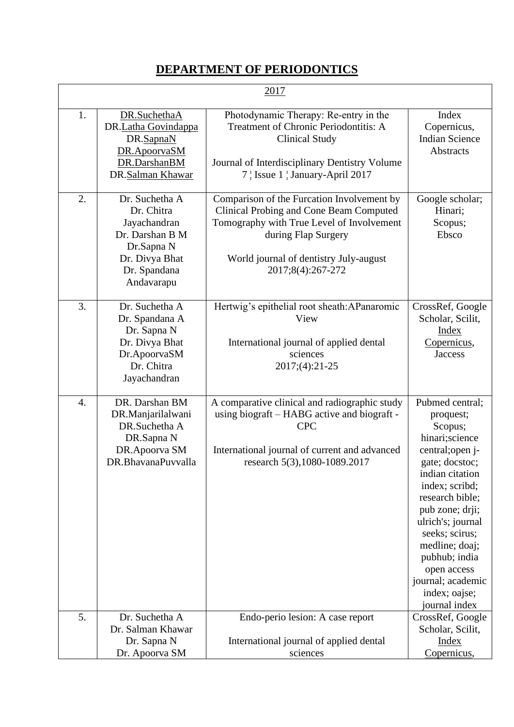## **DEPARTMENT OF PERIODONTICS**

| 2017             |                                                                                                                               |                                                                                                                                                                                                                                 |                                                                                                                                                                                                                                                                                                                            |
|------------------|-------------------------------------------------------------------------------------------------------------------------------|---------------------------------------------------------------------------------------------------------------------------------------------------------------------------------------------------------------------------------|----------------------------------------------------------------------------------------------------------------------------------------------------------------------------------------------------------------------------------------------------------------------------------------------------------------------------|
| 1.               | DR.SuchethaA<br>DR.Latha Govindappa<br>DR.SapnaN<br>DR.ApoorvaSM<br>DR.DarshanBM<br>DR.Salman Khawar                          | Photodynamic Therapy: Re-entry in the<br>Treatment of Chronic Periodontitis: A<br><b>Clinical Study</b><br>Journal of Interdisciplinary Dentistry Volume<br>7   Issue 1   January-April 2017                                    | Index<br>Copernicus,<br><b>Indian Science</b><br>Abstracts                                                                                                                                                                                                                                                                 |
| 2.               | Dr. Suchetha A<br>Dr. Chitra<br>Jayachandran<br>Dr. Darshan B M<br>Dr.Sapna N<br>Dr. Divya Bhat<br>Dr. Spandana<br>Andavarapu | Comparison of the Furcation Involvement by<br><b>Clinical Probing and Cone Beam Computed</b><br>Tomography with True Level of Involvement<br>during Flap Surgery<br>World journal of dentistry July-august<br>2017;8(4):267-272 | Google scholar;<br>Hinari;<br>Scopus;<br>Ebsco                                                                                                                                                                                                                                                                             |
| 3.               | Dr. Suchetha A<br>Dr. Spandana A<br>Dr. Sapna N<br>Dr. Divya Bhat<br>Dr.ApoorvaSM<br>Dr. Chitra<br>Jayachandran               | Hertwig's epithelial root sheath:APanaromic<br>View<br>International journal of applied dental<br>sciences<br>2017;(4):21-25                                                                                                    | CrossRef, Google<br>Scholar, Scilit,<br><b>Index</b><br>Copernicus,<br><b>Jaccess</b>                                                                                                                                                                                                                                      |
| $\overline{4}$ . | DR. Darshan BM<br>DR.Manjarilalwani<br>DR.Suchetha A<br>DR.Sapna N<br>DR.Apoorva SM<br>DR.BhavanaPuvvalla                     | A comparative clinical and radiographic study<br>using biograft – HABG active and biograft -<br><b>CPC</b><br>International journal of current and advanced<br>research 5(3), 1080-1089.2017                                    | Pubmed central;<br>proquest;<br>Scopus;<br>hinari;science<br>central; open j-<br>gate; docstoc;<br>indian citation<br>index; scribd;<br>research bible;<br>pub zone; drji;<br>ulrich's; journal<br>seeks; scirus;<br>medline; doaj;<br>pubhub; india<br>open access<br>journal; academic<br>index; oajse;<br>journal index |
| 5.               | Dr. Suchetha A<br>Dr. Salman Khawar<br>Dr. Sapna N                                                                            | Endo-perio lesion: A case report<br>International journal of applied dental                                                                                                                                                     | CrossRef, Google<br>Scholar, Scilit,<br><b>Index</b>                                                                                                                                                                                                                                                                       |
|                  | Dr. Apoorva SM                                                                                                                | sciences                                                                                                                                                                                                                        | Copernicus,                                                                                                                                                                                                                                                                                                                |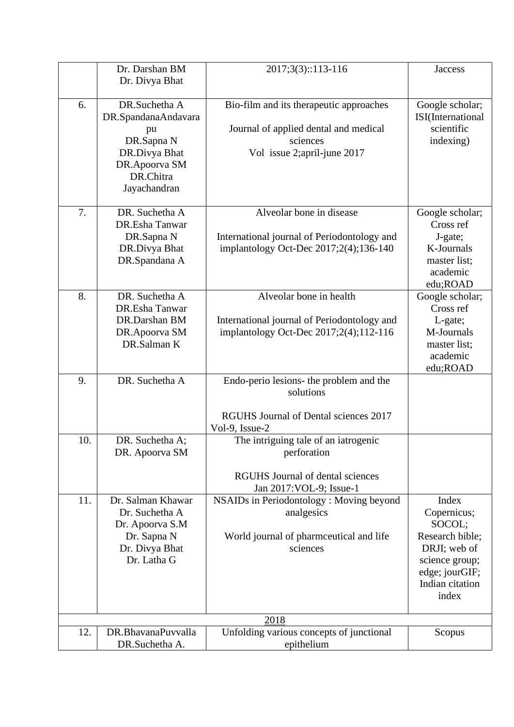|     | Dr. Darshan BM                   | 2017;3(3)::113-116                                     | <b>Jaccess</b>                    |
|-----|----------------------------------|--------------------------------------------------------|-----------------------------------|
|     | Dr. Divya Bhat                   |                                                        |                                   |
|     |                                  |                                                        |                                   |
| 6.  | DR.Suchetha A                    | Bio-film and its therapeutic approaches                | Google scholar;                   |
|     | DR.SpandanaAndavara              |                                                        | ISI(International                 |
|     | pu                               | Journal of applied dental and medical                  | scientific                        |
|     | DR.Sapna N                       | sciences                                               | indexing)                         |
|     | DR.Divya Bhat                    | Vol issue 2;april-june 2017                            |                                   |
|     | DR.Apoorva SM<br>DR.Chitra       |                                                        |                                   |
|     | Jayachandran                     |                                                        |                                   |
|     |                                  |                                                        |                                   |
| 7.  | DR. Suchetha A                   | Alveolar bone in disease                               | Google scholar;                   |
|     | DR.Esha Tanwar                   |                                                        | Cross ref                         |
|     | DR.Sapna N                       | International journal of Periodontology and            | J-gate;                           |
|     | DR.Divya Bhat                    | implantology Oct-Dec 2017;2(4);136-140                 | K-Journals                        |
|     | DR.Spandana A                    |                                                        | master list;                      |
|     |                                  |                                                        | academic                          |
|     |                                  |                                                        | edu;ROAD                          |
| 8.  | DR. Suchetha A<br>DR.Esha Tanwar | Alveolar bone in health                                | Google scholar;<br>Cross ref      |
|     | DR.Darshan BM                    | International journal of Periodontology and            | L-gate;                           |
|     | DR.Apoorva SM                    | implantology Oct-Dec 2017;2(4);112-116                 | M-Journals                        |
|     | DR.Salman K                      |                                                        | master list;                      |
|     |                                  |                                                        | academic                          |
|     |                                  |                                                        | edu;ROAD                          |
| 9.  | DR. Suchetha A                   | Endo-perio lesions- the problem and the                |                                   |
|     |                                  | solutions                                              |                                   |
|     |                                  |                                                        |                                   |
|     |                                  | RGUHS Journal of Dental sciences 2017                  |                                   |
| 10. | DR. Suchetha A;                  | Vol-9, Issue-2<br>The intriguing tale of an iatrogenic |                                   |
|     | DR. Apoorva SM                   | perforation                                            |                                   |
|     |                                  |                                                        |                                   |
|     |                                  | <b>RGUHS</b> Journal of dental sciences                |                                   |
|     |                                  | Jan 2017: VOL-9; Issue-1                               |                                   |
| 11. | Dr. Salman Khawar                | NSAIDs in Periodontology: Moving beyond                | Index                             |
|     | Dr. Suchetha A                   | analgesics                                             | Copernicus;                       |
|     | Dr. Apoorva S.M                  |                                                        | SOCOL;                            |
|     | Dr. Sapna N                      | World journal of pharmceutical and life                | Research bible;                   |
|     | Dr. Divya Bhat                   | sciences                                               | DRJI; web of                      |
|     | Dr. Latha G                      |                                                        | science group;                    |
|     |                                  |                                                        | edge; jourGIF;<br>Indian citation |
|     |                                  |                                                        | index                             |
|     |                                  |                                                        |                                   |
|     |                                  | 2018                                                   |                                   |
| 12. | DR.BhavanaPuvvalla               | Unfolding various concepts of junctional               | Scopus                            |
|     | DR.Suchetha A.                   | epithelium                                             |                                   |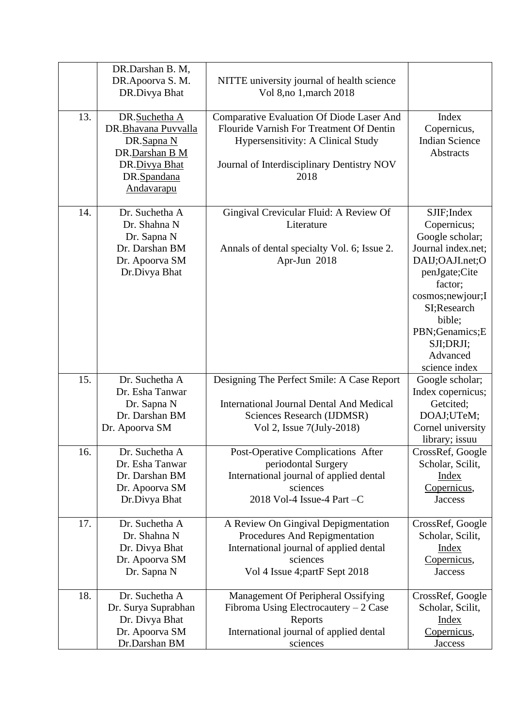| 13. | DR.Darshan B. M,<br>DR.Apoorva S. M.<br>DR.Divya Bhat<br>DR.Suchetha A<br>DR.Bhavana Puvvalla<br>DR.Sapna N<br>DR.Darshan B M<br>DR.Divya Bhat<br>DR.Spandana<br>Andavarapu | NITTE university journal of health science<br>Vol 8, no 1, march 2018<br><b>Comparative Evaluation Of Diode Laser And</b><br>Flouride Varnish For Treatment Of Dentin<br><b>Hypersensitivity: A Clinical Study</b><br>Journal of Interdisciplinary Dentistry NOV<br>2018 | Index<br>Copernicus,<br><b>Indian Science</b><br>Abstracts                                                                                                                                                                    |
|-----|-----------------------------------------------------------------------------------------------------------------------------------------------------------------------------|--------------------------------------------------------------------------------------------------------------------------------------------------------------------------------------------------------------------------------------------------------------------------|-------------------------------------------------------------------------------------------------------------------------------------------------------------------------------------------------------------------------------|
| 14. | Dr. Suchetha A<br>Dr. Shahna N<br>Dr. Sapna N<br>Dr. Darshan BM<br>Dr. Apoorva SM<br>Dr.Divya Bhat                                                                          | Gingival Crevicular Fluid: A Review Of<br>Literature<br>Annals of dental specialty Vol. 6; Issue 2.<br>Apr-Jun 2018                                                                                                                                                      | SJIF; Index<br>Copernicus;<br>Google scholar;<br>Journal index.net;<br>DAIJ;OAJI.net;O<br>penJgate;Cite<br>factor;<br>cosmos; newjour; I<br>SI;Research<br>bible;<br>PBN;Genamics;E<br>SJI;DRJI;<br>Advanced<br>science index |
| 15. | Dr. Suchetha A                                                                                                                                                              | Designing The Perfect Smile: A Case Report                                                                                                                                                                                                                               | Google scholar;                                                                                                                                                                                                               |
|     | Dr. Esha Tanwar<br>Dr. Sapna N<br>Dr. Darshan BM<br>Dr. Apoorva SM                                                                                                          | <b>International Journal Dental And Medical</b><br>Sciences Research (IJDMSR)<br>Vol 2, Issue 7(July-2018)                                                                                                                                                               | Index copernicus;<br>Getcited;<br>DOAJ;UTeM;<br>Cornel university<br>library; issuu                                                                                                                                           |
| 16. | Dr. Suchetha A<br>Dr. Esha Tanwar<br>Dr. Darshan BM<br>Dr. Apoorva SM<br>Dr.Divya Bhat                                                                                      | Post-Operative Complications After<br>periodontal Surgery<br>International journal of applied dental<br>sciences<br>2018 Vol-4 Issue-4 Part -C                                                                                                                           | CrossRef, Google<br>Scholar, Scilit,<br><b>Index</b><br>Copernicus,<br><b>Jaccess</b>                                                                                                                                         |
| 17. | Dr. Suchetha A<br>Dr. Shahna N<br>Dr. Divya Bhat<br>Dr. Apoorva SM<br>Dr. Sapna N                                                                                           | A Review On Gingival Depigmentation<br>Procedures And Repigmentation<br>International journal of applied dental<br>sciences<br>Vol 4 Issue 4; partF Sept 2018                                                                                                            | CrossRef, Google<br>Scholar, Scilit,<br><b>Index</b><br>Copernicus,<br><b>Jaccess</b>                                                                                                                                         |
| 18. | Dr. Suchetha A<br>Dr. Surya Suprabhan<br>Dr. Divya Bhat<br>Dr. Apoorva SM<br>Dr.Darshan BM                                                                                  | Management Of Peripheral Ossifying<br>Fibroma Using Electrocautery $-2$ Case<br>Reports<br>International journal of applied dental<br>sciences                                                                                                                           | CrossRef, Google<br>Scholar, Scilit,<br><b>Index</b><br>Copernicus,<br><b>Jaccess</b>                                                                                                                                         |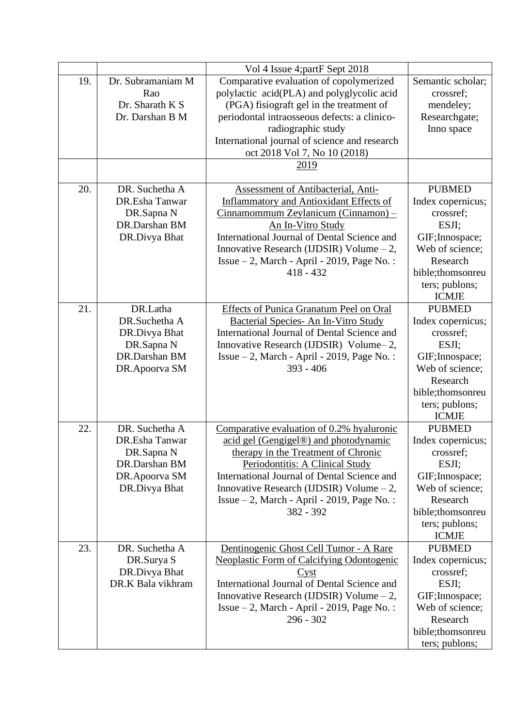|     |                                                                                                   | Vol 4 Issue 4; partF Sept 2018                                                                                                                                                                                                                                                                                         |                                                                                                                                                                  |
|-----|---------------------------------------------------------------------------------------------------|------------------------------------------------------------------------------------------------------------------------------------------------------------------------------------------------------------------------------------------------------------------------------------------------------------------------|------------------------------------------------------------------------------------------------------------------------------------------------------------------|
| 19. | Dr. Subramaniam M<br>Rao<br>Dr. Sharath K S<br>Dr. Darshan B M                                    | Comparative evaluation of copolymerized<br>polylactic acid(PLA) and polyglycolic acid<br>(PGA) fisiograft gel in the treatment of<br>periodontal intraosseous defects: a clinico-<br>radiographic study<br>International journal of science and research<br>oct 2018 Vol 7, No 10 (2018)<br>2019                       | Semantic scholar;<br>crossref;<br>mendeley;<br>Researchgate;<br>Inno space                                                                                       |
|     |                                                                                                   |                                                                                                                                                                                                                                                                                                                        |                                                                                                                                                                  |
| 20. | DR. Suchetha A<br>DR.Esha Tanwar<br>DR.Sapna N<br>DR.Darshan BM<br>DR.Divya Bhat                  | Assessment of Antibacterial, Anti-<br><b>Inflammatory and Antioxidant Effects of</b><br>Cinnamommum Zeylanicum (Cinnamon) –<br>An In-Vitro Study<br>International Journal of Dental Science and<br>Innovative Research (IJDSIR) Volume $-2$ ,<br>Issue $-2$ , March - April - 2019, Page No.:<br>$418 - 432$           | <b>PUBMED</b><br>Index copernicus;<br>crossref;<br>ESJI;<br>GIF; Innospace;<br>Web of science;<br>Research<br>bible;thomsonreu<br>ters; publons;<br><b>ICMJE</b> |
| 21. | DR.Latha<br>DR.Suchetha A<br>DR.Divya Bhat<br>DR.Sapna N<br>DR.Darshan BM<br>DR.Apoorva SM        | Effects of Punica Granatum Peel on Oral<br>Bacterial Species- An In-Vitro Study<br>International Journal of Dental Science and<br>Innovative Research (IJDSIR) Volume-2,<br>Issue $-2$ , March - April - 2019, Page No.:<br>$393 - 406$                                                                                | <b>PUBMED</b><br>Index copernicus;<br>crossref;<br>ESJI;<br>GIF; Innospace;<br>Web of science;<br>Research<br>bible;thomsonreu<br>ters; publons;<br><b>ICMJE</b> |
| 22. | DR. Suchetha A<br>DR.Esha Tanwar<br>DR.Sapna N<br>DR.Darshan BM<br>DR.Apoorva SM<br>DR.Divya Bhat | Comparative evaluation of 0.2% hyaluronic<br>acid gel (Gengigel®) and photodynamic<br>therapy in the Treatment of Chronic<br>Periodontitis: A Clinical Study<br>International Journal of Dental Science and<br>Innovative Research (IJDSIR) Volume $-2$ ,<br>Issue $-2$ , March - April - 2019, Page No.:<br>382 - 392 | <b>PUBMED</b><br>Index copernicus;<br>crossref;<br>ESJI;<br>GIF; Innospace;<br>Web of science;<br>Research<br>bible;thomsonreu<br>ters; publons;<br><b>ICMJE</b> |
| 23. | DR. Suchetha A<br>DR.Surya S<br>DR.Divya Bhat<br>DR.K Bala vikhram                                | Dentinogenic Ghost Cell Tumor - A Rare<br><b>Neoplastic Form of Calcifying Odontogenic</b><br>$\frac{\text{Cyst}}{\text{Cust}}$<br>International Journal of Dental Science and<br>Innovative Research (IJDSIR) Volume $-2$ ,<br>Issue $-2$ , March - April - 2019, Page No.:<br>$296 - 302$                            | <b>PUBMED</b><br>Index copernicus;<br>crossref;<br>ESJI;<br>GIF; Innospace;<br>Web of science;<br>Research<br>bible;thomsonreu<br>ters; publons;                 |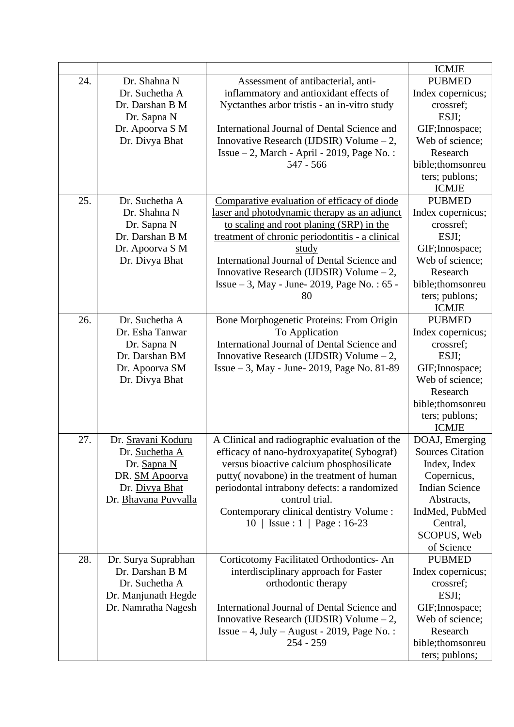|     |                       |                                                 | <b>ICMJE</b>                   |
|-----|-----------------------|-------------------------------------------------|--------------------------------|
| 24. | Dr. Shahna N          | Assessment of antibacterial, anti-              | <b>PUBMED</b>                  |
|     | Dr. Suchetha A        | inflammatory and antioxidant effects of         | Index copernicus;              |
|     | Dr. Darshan B M       | Nyctanthes arbor tristis - an in-vitro study    | crossref;                      |
|     | Dr. Sapna N           |                                                 | ESJI;                          |
|     | Dr. Apoorva S M       | International Journal of Dental Science and     | GIF; Innospace;                |
|     | Dr. Divya Bhat        | Innovative Research (IJDSIR) Volume $-2$ ,      | Web of science;                |
|     |                       | Issue $-2$ , March - April - 2019, Page No.:    | Research                       |
|     |                       | $547 - 566$                                     | bible;thomsonreu               |
|     |                       |                                                 | ters; publons;                 |
|     |                       |                                                 | <b>ICMJE</b>                   |
| 25. | Dr. Suchetha A        | Comparative evaluation of efficacy of diode     | <b>PUBMED</b>                  |
|     | Dr. Shahna N          | laser and photodynamic therapy as an adjunct    | Index copernicus;              |
|     | Dr. Sapna N           | to scaling and root planing (SRP) in the        | crossref;                      |
|     | Dr. Darshan B M       | treatment of chronic periodontitis - a clinical | ESJI;                          |
|     | Dr. Apoorva S M       | <u>study</u>                                    | GIF; Innospace;                |
|     | Dr. Divya Bhat        | International Journal of Dental Science and     | Web of science;                |
|     |                       | Innovative Research (IJDSIR) Volume $-2$ ,      | Research                       |
|     |                       | Issue $-3$ , May - June- 2019, Page No.: 65 -   | bible;thomsonreu               |
|     |                       | 80                                              | ters; publons;                 |
|     |                       |                                                 | <b>ICMJE</b>                   |
| 26. | Dr. Suchetha A        | Bone Morphogenetic Proteins: From Origin        | <b>PUBMED</b>                  |
|     | Dr. Esha Tanwar       | To Application                                  | Index copernicus;              |
|     | Dr. Sapna N           | International Journal of Dental Science and     | crossref;                      |
|     | Dr. Darshan BM        | Innovative Research (IJDSIR) Volume $-2$ ,      | ESJI;                          |
|     | Dr. Apoorva SM        | Issue – 3, May - June- 2019, Page No. 81-89     | GIF; Innospace;                |
|     | Dr. Divya Bhat        |                                                 | Web of science;<br>Research    |
|     |                       |                                                 | bible;thomsonreu               |
|     |                       |                                                 |                                |
|     |                       |                                                 | ters; publons;<br><b>ICMJE</b> |
| 27. | Dr. Sravani Koduru    | A Clinical and radiographic evaluation of the   | DOAJ, Emerging                 |
|     | Dr. Suchetha A        | efficacy of nano-hydroxyapatite(Sybograf)       | <b>Sources Citation</b>        |
|     | Dr. Sapna N           | versus bioactive calcium phosphosilicate        | Index, Index                   |
|     | DR. <b>SM Apoorva</b> | putty(novabone) in the treatment of human       | Copernicus,                    |
|     | Dr. Divya Bhat        | periodontal intrabony defects: a randomized     | <b>Indian Science</b>          |
|     | Dr. Bhavana Puvvalla  | control trial.                                  | Abstracts,                     |
|     |                       | Contemporary clinical dentistry Volume :        | IndMed, PubMed                 |
|     |                       | $10$   Issue : 1   Page : 16-23                 | Central,                       |
|     |                       |                                                 | SCOPUS, Web                    |
|     |                       |                                                 | of Science                     |
| 28. | Dr. Surya Suprabhan   | Corticotomy Facilitated Orthodontics- An        | <b>PUBMED</b>                  |
|     | Dr. Darshan B M       | interdisciplinary approach for Faster           | Index copernicus;              |
|     | Dr. Suchetha A        | orthodontic therapy                             | crossref;                      |
|     | Dr. Manjunath Hegde   |                                                 | ESJI;                          |
|     | Dr. Namratha Nagesh   | International Journal of Dental Science and     | GIF; Innospace;                |
|     |                       | Innovative Research (IJDSIR) Volume $-2$ ,      | Web of science;                |
|     |                       | Issue $-4$ , July $-$ August - 2019, Page No.:  | Research                       |
|     |                       | $254 - 259$                                     | bible;thomsonreu               |
|     |                       |                                                 | ters; publons;                 |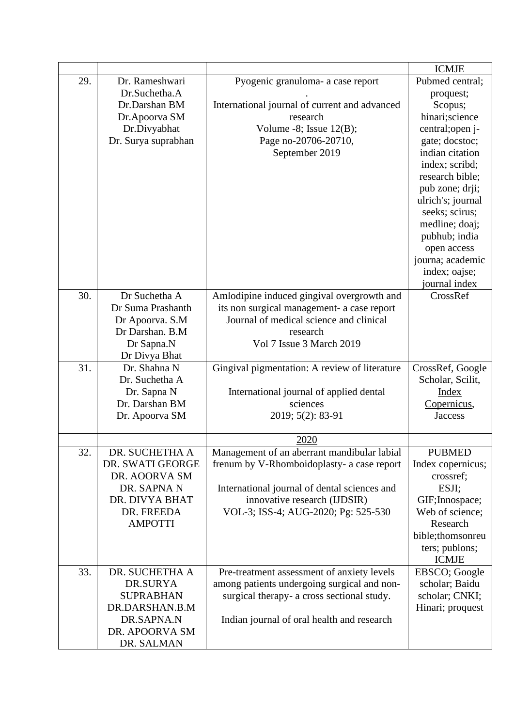|     |                              |                                               | <b>ICMJE</b>      |
|-----|------------------------------|-----------------------------------------------|-------------------|
| 29. | Dr. Rameshwari               | Pyogenic granuloma- a case report             | Pubmed central;   |
|     | Dr.Suchetha.A                |                                               | proquest;         |
|     | Dr.Darshan BM                | International journal of current and advanced | Scopus;           |
|     | Dr.Apoorva SM                | research                                      | hinari;science    |
|     | Dr.Divyabhat                 | Volume -8; Issue $12(B)$ ;                    | central; open j-  |
|     | Dr. Surya suprabhan          | Page no-20706-20710,                          | gate; docstoc;    |
|     |                              | September 2019                                | indian citation   |
|     |                              |                                               | index; scribd;    |
|     |                              |                                               | research bible;   |
|     |                              |                                               | pub zone; drji;   |
|     |                              |                                               | ulrich's; journal |
|     |                              |                                               | seeks; scirus;    |
|     |                              |                                               | medline; doaj;    |
|     |                              |                                               | pubhub; india     |
|     |                              |                                               | open access       |
|     |                              |                                               | journa; academic  |
|     |                              |                                               | index; oajse;     |
|     |                              |                                               | journal index     |
| 30. | Dr Suchetha A                | Amlodipine induced gingival overgrowth and    | CrossRef          |
|     | Dr Suma Prashanth            | its non surgical management- a case report    |                   |
|     | Dr Apoorva. S.M              | Journal of medical science and clinical       |                   |
|     | Dr Darshan. B.M              | research<br>Vol 7 Issue 3 March 2019          |                   |
|     | Dr Sapna.N<br>Dr Divya Bhat  |                                               |                   |
| 31. | Dr. Shahna N                 | Gingival pigmentation: A review of literature | CrossRef, Google  |
|     | Dr. Suchetha A               |                                               | Scholar, Scilit,  |
|     | Dr. Sapna N                  | International journal of applied dental       | <b>Index</b>      |
|     | Dr. Darshan BM               | sciences                                      | Copernicus,       |
|     | Dr. Apoorva SM               | 2019; 5(2): 83-91                             | <b>Jaccess</b>    |
|     |                              |                                               |                   |
|     |                              | 2020                                          |                   |
| 32. | DR. SUCHETHA A               | Management of an aberrant mandibular labial   | <b>PUBMED</b>     |
|     | DR. SWATI GEORGE             | frenum by V-Rhomboidoplasty- a case report    | Index copernicus; |
|     | DR. AOORVA SM                |                                               | crossref;         |
|     | DR. SAPNA N                  | International journal of dental sciences and  | ESJI;             |
|     | DR. DIVYA BHAT               | innovative research (IJDSIR)                  | GIF; Innospace;   |
|     | DR. FREEDA                   | VOL-3; ISS-4; AUG-2020; Pg: 525-530           | Web of science;   |
|     | <b>AMPOTTI</b>               |                                               | Research          |
|     |                              |                                               | bible;thomsonreu  |
|     |                              |                                               | ters; publons;    |
|     |                              |                                               | <b>ICMJE</b>      |
| 33. | DR. SUCHETHA A               | Pre-treatment assessment of anxiety levels    | EBSCO; Google     |
|     | DR.SURYA                     | among patients undergoing surgical and non-   | scholar; Baidu    |
|     | <b>SUPRABHAN</b>             | surgical therapy- a cross sectional study.    | scholar; CNKI;    |
|     | DR.DARSHAN.B.M               |                                               | Hinari; proquest  |
|     | DR.SAPNA.N                   | Indian journal of oral health and research    |                   |
|     | DR. APOORVA SM<br>DR. SALMAN |                                               |                   |
|     |                              |                                               |                   |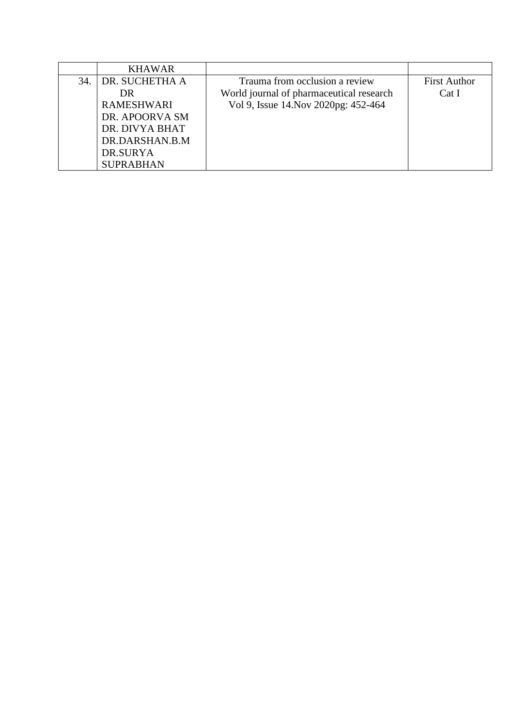|     | <b>KHAWAR</b>     |                                          |                     |
|-----|-------------------|------------------------------------------|---------------------|
| 34. | DR. SUCHETHA A    | Trauma from occlusion a review           | <b>First Author</b> |
|     | DR                | World journal of pharmaceutical research | Cat I               |
|     | <b>RAMESHWARI</b> | Vol 9, Issue 14. Nov 2020pg: 452-464     |                     |
|     | DR. APOORVA SM    |                                          |                     |
|     | DR. DIVYA BHAT    |                                          |                     |
|     | DR.DARSHAN.B.M    |                                          |                     |
|     | DR.SURYA          |                                          |                     |
|     | <b>SUPRABHAN</b>  |                                          |                     |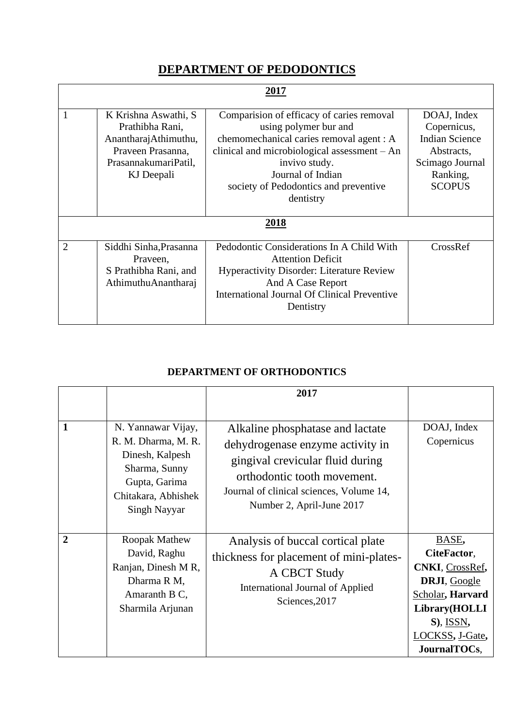## **DEPARTMENT OF PEDODONTICS**

| 2017           |                                                                                                                            |                                                                                                                                                                                                                                                            |                                                                                                                   |
|----------------|----------------------------------------------------------------------------------------------------------------------------|------------------------------------------------------------------------------------------------------------------------------------------------------------------------------------------------------------------------------------------------------------|-------------------------------------------------------------------------------------------------------------------|
|                | K Krishna Aswathi, S<br>Prathibha Rani,<br>AnantharajAthimuthu,<br>Praveen Prasanna,<br>PrasannakumariPatil,<br>KJ Deepali | Comparision of efficacy of caries removal<br>using polymer bur and<br>chemomechanical caries removal agent : A<br>clinical and microbiological assessment - An<br>invivo study.<br>Journal of Indian<br>society of Pedodontics and preventive<br>dentistry | DOAJ, Index<br>Copernicus,<br><b>Indian Science</b><br>Abstracts,<br>Scimago Journal<br>Ranking,<br><b>SCOPUS</b> |
|                |                                                                                                                            | 2018                                                                                                                                                                                                                                                       |                                                                                                                   |
| $\overline{2}$ | Siddhi Sinha, Prasanna<br>Praveen,<br>S Prathibha Rani, and<br>AthimuthuAnantharaj                                         | Pedodontic Considerations In A Child With<br><b>Attention Deficit</b><br><b>Hyperactivity Disorder: Literature Review</b><br>And A Case Report<br><b>International Journal Of Clinical Preventive</b><br>Dentistry                                         | CrossRef                                                                                                          |

#### **DEPARTMENT OF ORTHODONTICS**

|                |                                                                                                                                       | 2017                                                                                                                                                                                                             |                                                                                                                                                         |
|----------------|---------------------------------------------------------------------------------------------------------------------------------------|------------------------------------------------------------------------------------------------------------------------------------------------------------------------------------------------------------------|---------------------------------------------------------------------------------------------------------------------------------------------------------|
| 1              | N. Yannawar Vijay,<br>R. M. Dharma, M. R.<br>Dinesh, Kalpesh<br>Sharma, Sunny<br>Gupta, Garima<br>Chitakara, Abhishek<br>Singh Nayyar | Alkaline phosphatase and lactate<br>dehydrogenase enzyme activity in<br>gingival crevicular fluid during<br>orthodontic tooth movement.<br>Journal of clinical sciences, Volume 14,<br>Number 2, April-June 2017 | DOAJ, Index<br>Copernicus                                                                                                                               |
| $\overline{2}$ | Roopak Mathew<br>David, Raghu<br>Ranjan, Dinesh MR,<br>Dharma R M,<br>Amaranth B C,<br>Sharmila Arjunan                               | Analysis of buccal cortical plate<br>thickness for placement of mini-plates-<br>A CBCT Study<br>International Journal of Applied<br>Sciences, 2017                                                               | BASE,<br>CiteFactor,<br><b>CNKI</b> , CrossRef,<br>DRJI, Google<br>Scholar, Harvard<br>Library(HOLLI<br>$S$ ), ISSN,<br>LOCKSS, J-Gate,<br>JournalTOCs, |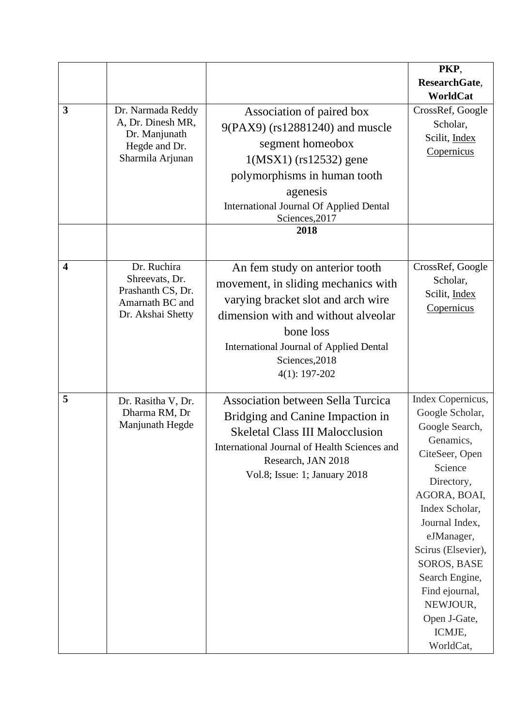|                         |                                                                                              |                                                                                                                                                                                                                                                        | PKP,                                                                                                                                                                                                                                                                                                                |
|-------------------------|----------------------------------------------------------------------------------------------|--------------------------------------------------------------------------------------------------------------------------------------------------------------------------------------------------------------------------------------------------------|---------------------------------------------------------------------------------------------------------------------------------------------------------------------------------------------------------------------------------------------------------------------------------------------------------------------|
|                         |                                                                                              |                                                                                                                                                                                                                                                        | ResearchGate,                                                                                                                                                                                                                                                                                                       |
|                         |                                                                                              |                                                                                                                                                                                                                                                        | WorldCat                                                                                                                                                                                                                                                                                                            |
| 3                       | Dr. Narmada Reddy<br>A, Dr. Dinesh MR,<br>Dr. Manjunath<br>Hegde and Dr.<br>Sharmila Arjunan | Association of paired box<br>9(PAX9) (rs12881240) and muscle<br>segment homeobox<br>$1(MSX1)$ (rs $12532$ ) gene<br>polymorphisms in human tooth<br>agenesis<br><b>International Journal Of Applied Dental</b><br>Sciences, 2017<br>2018               | CrossRef, Google<br>Scholar,<br>Scilit, Index<br>Copernicus                                                                                                                                                                                                                                                         |
| $\overline{\mathbf{4}}$ | Dr. Ruchira<br>Shreevats, Dr.<br>Prashanth CS, Dr.<br>Amarnath BC and<br>Dr. Akshai Shetty   | An fem study on anterior tooth<br>movement, in sliding mechanics with<br>varying bracket slot and arch wire<br>dimension with and without alveolar<br>bone loss<br><b>International Journal of Applied Dental</b><br>Sciences, 2018<br>$4(1): 197-202$ | CrossRef, Google<br>Scholar,<br>Scilit, Index<br>Copernicus                                                                                                                                                                                                                                                         |
| 5                       | Dr. Rasitha V, Dr.<br>Dharma RM, Dr<br>Manjunath Hegde                                       | <b>Association between Sella Turcica</b><br>Bridging and Canine Impaction in<br><b>Skeletal Class III Malocclusion</b><br>International Journal of Health Sciences and<br>Research, JAN 2018<br>Vol.8; Issue: 1; January 2018                          | Index Copernicus,<br>Google Scholar,<br>Google Search,<br>Genamics,<br>CiteSeer, Open<br>Science<br>Directory,<br>AGORA, BOAI,<br>Index Scholar,<br>Journal Index,<br>eJManager,<br>Scirus (Elsevier),<br><b>SOROS, BASE</b><br>Search Engine,<br>Find ejournal,<br>NEWJOUR,<br>Open J-Gate,<br>ICMJE,<br>WorldCat, |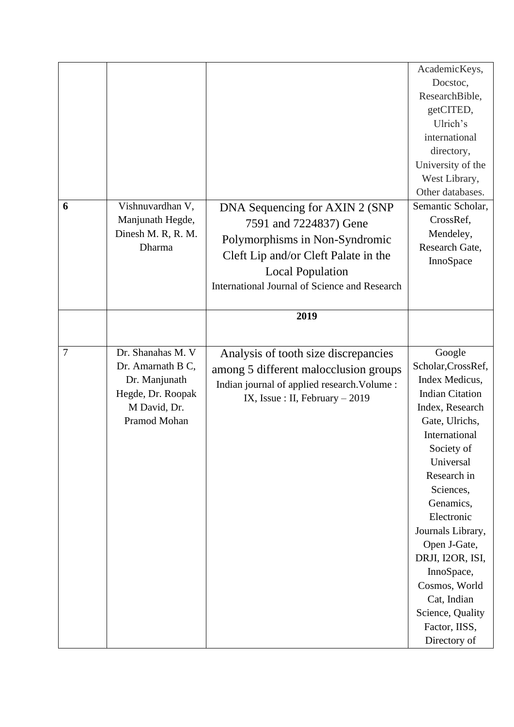|   |                    |                                               | AcademicKeys,          |
|---|--------------------|-----------------------------------------------|------------------------|
|   |                    |                                               | Docstoc,               |
|   |                    |                                               | ResearchBible,         |
|   |                    |                                               | getCITED,              |
|   |                    |                                               | Ulrich's               |
|   |                    |                                               | international          |
|   |                    |                                               | directory,             |
|   |                    |                                               | University of the      |
|   |                    |                                               | West Library,          |
|   |                    |                                               | Other databases.       |
| 6 | Vishnuvardhan V,   | DNA Sequencing for AXIN 2 (SNP                | Semantic Scholar,      |
|   | Manjunath Hegde,   | 7591 and 7224837) Gene                        | CrossRef,              |
|   | Dinesh M. R, R. M. | Polymorphisms in Non-Syndromic                | Mendeley,              |
|   | Dharma             | Cleft Lip and/or Cleft Palate in the          | Research Gate,         |
|   |                    |                                               | InnoSpace              |
|   |                    | <b>Local Population</b>                       |                        |
|   |                    | International Journal of Science and Research |                        |
|   |                    |                                               |                        |
|   |                    | 2019                                          |                        |
|   |                    |                                               |                        |
| 7 | Dr. Shanahas M. V  | Analysis of tooth size discrepancies          | Google                 |
|   | Dr. Amarnath B C,  | among 5 different malocclusion groups         | Scholar, CrossRef,     |
|   | Dr. Manjunath      | Indian journal of applied research. Volume :  | Index Medicus,         |
|   | Hegde, Dr. Roopak  | IX, Issue: II, February $-2019$               | <b>Indian Citation</b> |
|   | M David, Dr.       |                                               | Index, Research        |
|   | Pramod Mohan       |                                               | Gate, Ulrichs,         |
|   |                    |                                               | International          |
|   |                    |                                               | Society of             |
|   |                    |                                               | Universal              |
|   |                    |                                               | Research in            |
|   |                    |                                               | Sciences,              |
|   |                    |                                               | Genamics,              |
|   |                    |                                               | Electronic             |
|   |                    |                                               | Journals Library,      |
|   |                    |                                               | Open J-Gate,           |
|   |                    |                                               | DRJI, I2OR, ISI,       |
|   |                    |                                               | InnoSpace,             |
|   |                    |                                               | Cosmos, World          |
|   |                    |                                               | Cat, Indian            |
|   |                    |                                               | Science, Quality       |
|   |                    |                                               | Factor, IISS,          |
|   |                    |                                               | Directory of           |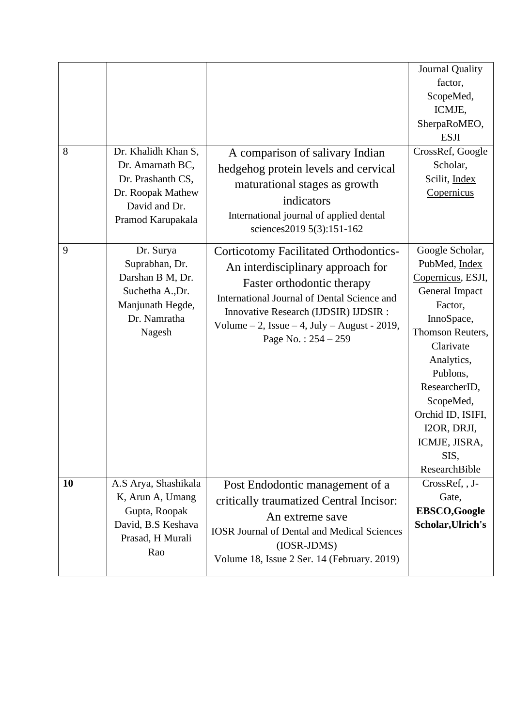| 8  | Dr. Khalidh Khan S,<br>Dr. Amarnath BC,<br>Dr. Prashanth CS,<br>Dr. Roopak Mathew<br>David and Dr.<br>Pramod Karupakala | A comparison of salivary Indian<br>hedgehog protein levels and cervical<br>maturational stages as growth<br>indicators<br>International journal of applied dental<br>sciences2019 5(3):151-162                                                                                         | Journal Quality<br>factor,<br>ScopeMed,<br>ICMJE,<br>SherpaRoMEO,<br><b>ESJI</b><br>CrossRef, Google<br>Scholar,<br>Scilit, Index<br>Copernicus                                                                                                                         |
|----|-------------------------------------------------------------------------------------------------------------------------|----------------------------------------------------------------------------------------------------------------------------------------------------------------------------------------------------------------------------------------------------------------------------------------|-------------------------------------------------------------------------------------------------------------------------------------------------------------------------------------------------------------------------------------------------------------------------|
| 9  | Dr. Surya<br>Suprabhan, Dr.<br>Darshan B M, Dr.<br>Suchetha A., Dr.<br>Manjunath Hegde,<br>Dr. Namratha<br>Nagesh       | <b>Corticotomy Facilitated Orthodontics-</b><br>An interdisciplinary approach for<br>Faster orthodontic therapy<br>International Journal of Dental Science and<br>Innovative Research (IJDSIR) IJDSIR :<br>Volume $-2$ , Issue $-4$ , July $-$ August - 2019,<br>Page No.: $254 - 259$ | Google Scholar,<br>PubMed, Index<br>Copernicus, ESJI,<br>General Impact<br>Factor,<br>InnoSpace,<br>Thomson Reuters,<br>Clarivate<br>Analytics,<br>Publons,<br>ResearcherID,<br>ScopeMed,<br>Orchid ID, ISIFI,<br>I2OR, DRJI,<br>ICMJE, JISRA,<br>SIS,<br>ResearchBible |
| 10 | A.S Arya, Shashikala<br>K, Arun A, Umang<br>Gupta, Roopak<br>David, B.S Keshava<br>Prasad, H Murali<br>Rao              | Post Endodontic management of a<br>critically traumatized Central Incisor:<br>An extreme save<br><b>IOSR Journal of Dental and Medical Sciences</b><br>(IOSR-JDMS)<br>Volume 18, Issue 2 Ser. 14 (February. 2019)                                                                      | CrossRef, , J-<br>Gate,<br><b>EBSCO,Google</b><br>Scholar, Ulrich's                                                                                                                                                                                                     |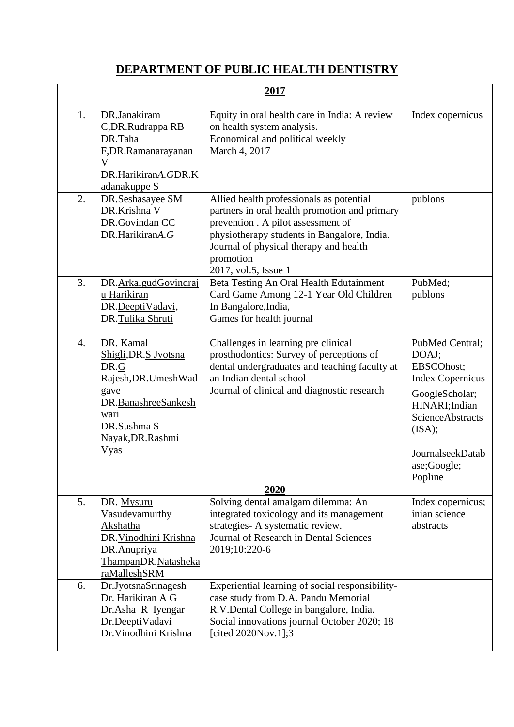## **DEPARTMENT OF PUBLIC HEALTH DENTISTRY**

| 2017 |                                                                                                                                                              |                                                                                                                                                                                                                                                               |                                                                                                                                                                                          |
|------|--------------------------------------------------------------------------------------------------------------------------------------------------------------|---------------------------------------------------------------------------------------------------------------------------------------------------------------------------------------------------------------------------------------------------------------|------------------------------------------------------------------------------------------------------------------------------------------------------------------------------------------|
| 1.   | DR.Janakiram<br>C, DR. Rudrappa RB<br>DR.Taha<br>F,DR.Ramanarayanan<br>V<br>DR.HarikiranA.GDR.K<br>adanakuppe S                                              | Equity in oral health care in India: A review<br>on health system analysis.<br>Economical and political weekly<br>March 4, 2017                                                                                                                               | Index copernicus                                                                                                                                                                         |
| 2.   | DR.Seshasayee SM<br>DR.Krishna V<br>DR.Govindan CC<br>DR.HarikiranA.G                                                                                        | Allied health professionals as potential<br>partners in oral health promotion and primary<br>prevention . A pilot assessment of<br>physiotherapy students in Bangalore, India.<br>Journal of physical therapy and health<br>promotion<br>2017, vol.5, Issue 1 | publons                                                                                                                                                                                  |
| 3.   | DR.ArkalgudGovindraj<br>u Harikiran<br>DR.DeeptiVadavi,<br>DR.Tulika Shruti                                                                                  | Beta Testing An Oral Health Edutainment<br>Card Game Among 12-1 Year Old Children<br>In Bangalore, India,<br>Games for health journal                                                                                                                         | PubMed;<br>publons                                                                                                                                                                       |
| 4.   | DR. Kamal<br>Shigli, DR.S Jyotsna<br>DR.G<br>Rajesh, DR. Umesh Wad<br>gave<br>DR.BanashreeSankesh<br>wari<br>DR.Sushma S<br>Nayak, DR. Rashmi<br><b>Vyas</b> | Challenges in learning pre clinical<br>prosthodontics: Survey of perceptions of<br>dental undergraduates and teaching faculty at<br>an Indian dental school<br>Journal of clinical and diagnostic research                                                    | PubMed Central;<br>DOAJ;<br>EBSCOhost;<br><b>Index Copernicus</b><br>GoogleScholar;<br>HINARI; Indian<br><b>ScienceAbstracts</b><br>(ISA);<br>JournalseekDatab<br>ase;Google;<br>Popline |
|      |                                                                                                                                                              | 2020                                                                                                                                                                                                                                                          |                                                                                                                                                                                          |
| 5.   | DR. Mysuru<br>Vasudevamurthy<br>Akshatha<br>DR. Vinodhini Krishna<br>DR.Anupriya<br>ThampanDR.Natasheka<br>raMalleshSRM                                      | Solving dental amalgam dilemma: An<br>integrated toxicology and its management<br>strategies- A systematic review.<br>Journal of Research in Dental Sciences<br>2019;10:220-6                                                                                 | Index copernicus;<br>inian science<br>abstracts                                                                                                                                          |
| 6.   | Dr.JyotsnaSrinagesh<br>Dr. Harikiran A G<br>Dr.Asha R Iyengar<br>Dr.DeeptiVadavi<br>Dr. Vinodhini Krishna                                                    | Experiential learning of social responsibility-<br>case study from D.A. Pandu Memorial<br>R.V.Dental College in bangalore, India.<br>Social innovations journal October 2020; 18<br>[cited 2020Nov.1];3                                                       |                                                                                                                                                                                          |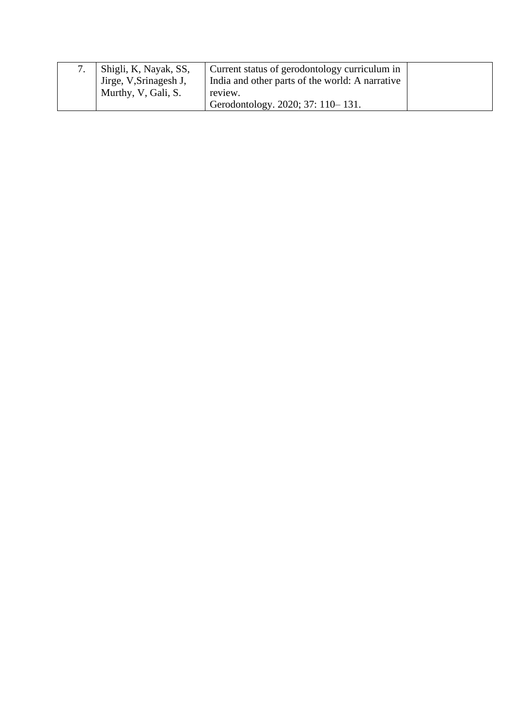| Shigli, K, Nayak, SS,  | Current status of gerodontology curriculum in   |  |
|------------------------|-------------------------------------------------|--|
| Jirge, V, Srinagesh J, | India and other parts of the world: A narrative |  |
| Murthy, V, Gali, S.    | review.                                         |  |
|                        | Gerodontology. 2020; 37: 110-131.               |  |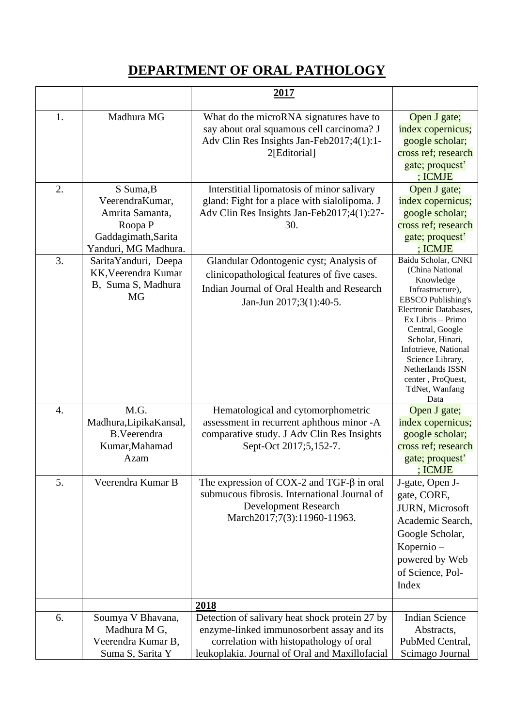# **DEPARTMENT OF ORAL PATHOLOGY**

|    |                                                                                                           | 2017                                                                                                                                                                                     |                                                                                                                                                                                                                                                                                                          |
|----|-----------------------------------------------------------------------------------------------------------|------------------------------------------------------------------------------------------------------------------------------------------------------------------------------------------|----------------------------------------------------------------------------------------------------------------------------------------------------------------------------------------------------------------------------------------------------------------------------------------------------------|
| 1. | Madhura MG                                                                                                | What do the microRNA signatures have to<br>say about oral squamous cell carcinoma? J<br>Adv Clin Res Insights Jan-Feb2017;4(1):1-<br>2[Editorial]                                        | Open J gate;<br>index copernicus;<br>google scholar;<br>cross ref; research<br>gate; proquest'<br>; ICMJE                                                                                                                                                                                                |
| 2. | S Suma, B<br>VeerendraKumar,<br>Amrita Samanta,<br>Roopa P<br>Gaddagimath, Sarita<br>Yanduri, MG Madhura. | Interstitial lipomatosis of minor salivary<br>gland: Fight for a place with sialolipoma. J<br>Adv Clin Res Insights Jan-Feb2017;4(1):27-<br>30.                                          | Open J gate;<br>index copernicus;<br>google scholar;<br>cross ref; research<br>gate; proquest'<br>; ICMJE                                                                                                                                                                                                |
| 3. | Sarita Yanduri, Deepa<br>KK, Veerendra Kumar<br>B, Suma S, Madhura<br><b>MG</b>                           | Glandular Odontogenic cyst; Analysis of<br>clinicopathological features of five cases.<br>Indian Journal of Oral Health and Research<br>Jan-Jun 2017;3(1):40-5.                          | Baidu Scholar, CNKI<br>(China National<br>Knowledge<br>Infrastructure),<br><b>EBSCO</b> Publishing's<br>Electronic Databases,<br>Ex Libris - Primo<br>Central, Google<br>Scholar, Hinari,<br>Infotrieve, National<br>Science Library,<br>Netherlands ISSN<br>center, ProQuest,<br>TdNet, Wanfang<br>Data |
| 4. | M.G.<br>Madhura, Lipika Kansal,<br><b>B.Veerendra</b><br>Kumar, Mahamad<br>Azam                           | Hematological and cytomorphometric<br>assessment in recurrent aphthous minor -A<br>comparative study. J Adv Clin Res Insights<br>Sept-Oct 2017;5,152-7.                                  | Open J gate;<br>index copernicus;<br>google scholar;<br>cross ref; research<br>gate; proquest'<br>; ICMJE                                                                                                                                                                                                |
| 5. | Veerendra Kumar B                                                                                         | The expression of COX-2 and TGF- $\beta$ in oral<br>submucous fibrosis. International Journal of<br><b>Development Research</b><br>March2017;7(3):11960-11963.                           | J-gate, Open J-<br>gate, CORE,<br>JURN, Microsoft<br>Academic Search,<br>Google Scholar,<br>Kopernio-<br>powered by Web<br>of Science, Pol-<br>Index                                                                                                                                                     |
|    |                                                                                                           | <u>2018</u>                                                                                                                                                                              |                                                                                                                                                                                                                                                                                                          |
| 6. | Soumya V Bhavana,<br>Madhura M G,<br>Veerendra Kumar B,<br>Suma S, Sarita Y                               | Detection of salivary heat shock protein 27 by<br>enzyme-linked immunosorbent assay and its<br>correlation with histopathology of oral<br>leukoplakia. Journal of Oral and Maxillofacial | <b>Indian Science</b><br>Abstracts,<br>PubMed Central,<br>Scimago Journal                                                                                                                                                                                                                                |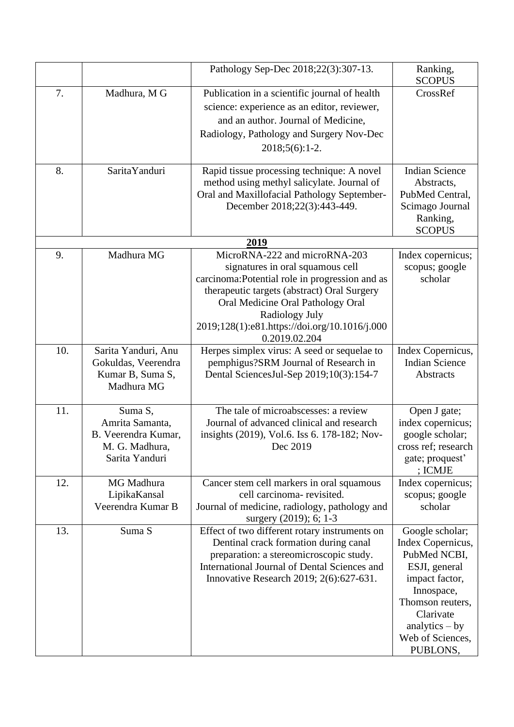|     |                                                                                       | Pathology Sep-Dec 2018;22(3):307-13.                                                                                                                                                                                                                                                         | Ranking,<br><b>SCOPUS</b>                                                                                                                                                                  |
|-----|---------------------------------------------------------------------------------------|----------------------------------------------------------------------------------------------------------------------------------------------------------------------------------------------------------------------------------------------------------------------------------------------|--------------------------------------------------------------------------------------------------------------------------------------------------------------------------------------------|
| 7.  | Madhura, M G                                                                          | Publication in a scientific journal of health<br>science: experience as an editor, reviewer,<br>and an author. Journal of Medicine,<br>Radiology, Pathology and Surgery Nov-Dec<br>$2018;5(6):1-2.$                                                                                          | CrossRef                                                                                                                                                                                   |
| 8.  | Sarita Yanduri                                                                        | Rapid tissue processing technique: A novel<br>method using methyl salicylate. Journal of<br>Oral and Maxillofacial Pathology September-<br>December 2018;22(3):443-449.                                                                                                                      | <b>Indian Science</b><br>Abstracts,<br>PubMed Central,<br>Scimago Journal<br>Ranking,<br><b>SCOPUS</b>                                                                                     |
|     |                                                                                       | 2019                                                                                                                                                                                                                                                                                         |                                                                                                                                                                                            |
| 9.  | Madhura MG                                                                            | MicroRNA-222 and microRNA-203<br>signatures in oral squamous cell<br>carcinoma: Potential role in progression and as<br>therapeutic targets (abstract) Oral Surgery<br>Oral Medicine Oral Pathology Oral<br>Radiology July<br>2019;128(1):e81.https://doi.org/10.1016/j.000<br>0.2019.02.204 | Index copernicus;<br>scopus; google<br>scholar                                                                                                                                             |
| 10. | Sarita Yanduri, Anu<br>Gokuldas, Veerendra<br>Kumar B, Suma S,<br>Madhura MG          | Herpes simplex virus: A seed or sequelae to<br>pemphigus?SRM Journal of Research in<br>Dental SciencesJul-Sep 2019;10(3):154-7                                                                                                                                                               | Index Copernicus,<br><b>Indian Science</b><br>Abstracts                                                                                                                                    |
| 11. | Suma S,<br>Amrita Samanta,<br>B. Veerendra Kumar,<br>M. G. Madhura.<br>Sarita Yanduri | The tale of microabscesses: a review<br>Journal of advanced clinical and research<br>insights (2019), Vol.6. Iss 6. 178-182; Nov-<br>Dec 2019                                                                                                                                                | Open J gate;<br>index copernicus;<br>google scholar;<br>cross ref; research<br>gate; proquest'<br>; ICMJE                                                                                  |
| 12. | MG Madhura<br>LipikaKansal<br>Veerendra Kumar B                                       | Cancer stem cell markers in oral squamous<br>cell carcinoma- revisited.<br>Journal of medicine, radiology, pathology and<br>surgery (2019); 6; 1-3                                                                                                                                           | Index copernicus;<br>scopus; google<br>scholar                                                                                                                                             |
| 13. | Suma S                                                                                | Effect of two different rotary instruments on<br>Dentinal crack formation during canal<br>preparation: a stereomicroscopic study.<br>International Journal of Dental Sciences and<br>Innovative Research 2019; 2(6):627-631.                                                                 | Google scholar;<br>Index Copernicus,<br>PubMed NCBI,<br>ESJI, general<br>impact factor,<br>Innospace,<br>Thomson reuters,<br>Clarivate<br>analytics $-$ by<br>Web of Sciences,<br>PUBLONS, |